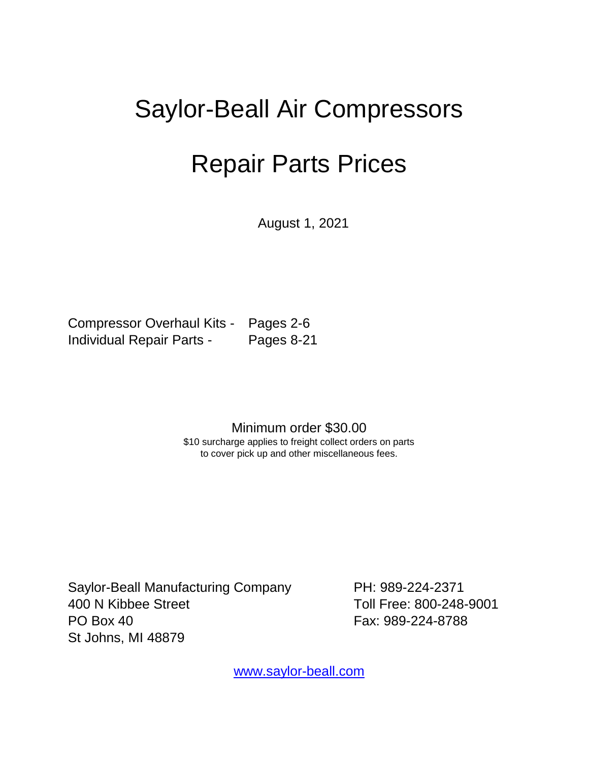## Saylor-Beall Air Compressors

## Repair Parts Prices

August 1, 2021

 Compressor Overhaul Kits - Pages 2-6 Individual Repair Parts - Pages 8-21

Minimum order \$30.00

\$10 surcharge applies to freight collect orders on parts to cover pick up and other miscellaneous fees.

Saylor-Beall Manufacturing Company PH: 989-224-2371 400 N Kibbee Street Toll Free: 800-248-9001 PO Box 40 Fax: 989-224-8788 St Johns, MI 48879

[www.saylor-beall.com](http://www.saylor-beall.com/)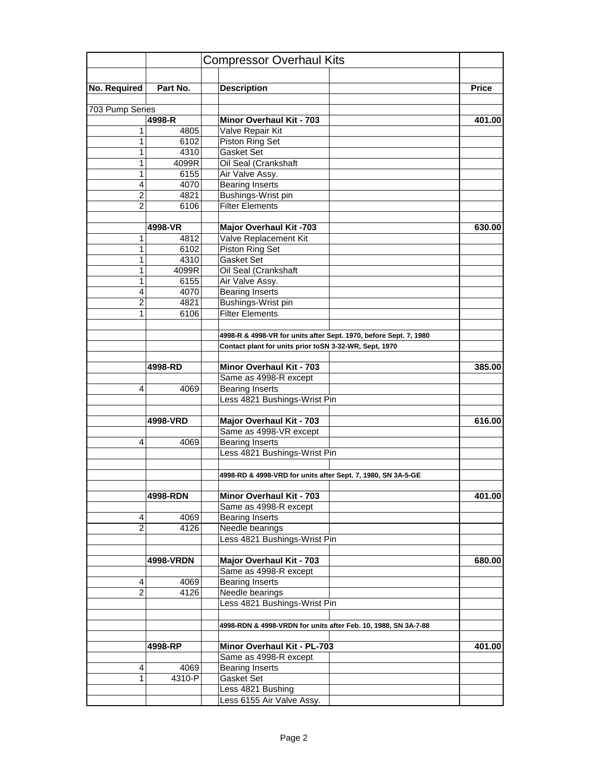| Part No.<br><b>Price</b><br><b>Description</b><br>703 Pump Series<br>Minor Overhaul Kit - 703<br>4998-R<br>401.00<br>1<br>4805<br>Valve Repair Kit<br>Piston Ring Set<br>1<br>6102<br>4310<br>Gasket Set<br>1<br>Oil Seal (Crankshaft<br>4099R<br>1<br>1<br>6155<br>Air Valve Assy.<br><b>Bearing Inserts</b><br>4<br>4070<br>$\overline{2}$<br>4821<br>Bushings-Wrist pin<br>$\overline{2}$<br><b>Filter Elements</b><br>6106<br><b>Major Overhaul Kit -703</b><br>4998-VR<br>630.00<br>Valve Replacement Kit<br>4812<br>1<br><b>Piston Ring Set</b><br>1<br>6102<br>1<br>4310<br><b>Gasket Set</b><br>1<br>4099R<br>Oil Seal (Crankshaft<br>$\mathbf{1}$<br>Air Valve Assy.<br>6155<br><b>Bearing Inserts</b><br>4<br>4070<br>Bushings-Wrist pin<br>$\overline{2}$<br>4821<br><b>Filter Elements</b><br>6106<br>1<br>4998-R & 4998-VR for units after Sept. 1970, before Sept. 7, 1980<br>Contact plant for units prior toSN 3-32-WR, Sept, 1970<br>4998-RD<br>Minor Overhaul Kit - 703<br>385.00<br>Same as 4998-R except<br><b>Bearing Inserts</b><br>4069<br>4<br>Less 4821 Bushings-Wrist Pin<br><b>Major Overhaul Kit - 703</b><br>4998-VRD<br>616.00<br>Same as 4998-VR except<br><b>Bearing Inserts</b><br>4<br>4069<br>Less 4821 Bushings-Wrist Pin<br>4998-RD & 4998-VRD for units after Sept. 7, 1980, SN 3A-5-GE<br>Minor Overhaul Kit - 703<br>401.00<br>4998-RDN<br>Same as 4998-R except<br>4069<br>Bearing Inserts<br>4<br>$\overline{2}$<br>4126<br>Needle bearings<br>Less 4821 Bushings-Wrist Pin<br>Major Overhaul Kit - 703<br>4998-VRDN<br>680.00<br>Same as 4998-R except<br><b>Bearing Inserts</b><br>4069<br>4<br>$\overline{2}$<br>Needle bearings<br>4126<br>Less 4821 Bushings-Wrist Pin<br>4998-RDN & 4998-VRDN for units after Feb. 10, 1988, SN 3A-7-88<br>Minor Overhaul Kit - PL-703<br>4998-RP<br>401.00<br>Same as 4998-R except<br>4<br>4069<br><b>Bearing Inserts</b><br>$\mathbf{1}$<br>4310-P<br>Gasket Set<br>Less 4821 Bushing<br>Less 6155 Air Valve Assy. |              | <b>Compressor Overhaul Kits</b> |  |
|-------------------------------------------------------------------------------------------------------------------------------------------------------------------------------------------------------------------------------------------------------------------------------------------------------------------------------------------------------------------------------------------------------------------------------------------------------------------------------------------------------------------------------------------------------------------------------------------------------------------------------------------------------------------------------------------------------------------------------------------------------------------------------------------------------------------------------------------------------------------------------------------------------------------------------------------------------------------------------------------------------------------------------------------------------------------------------------------------------------------------------------------------------------------------------------------------------------------------------------------------------------------------------------------------------------------------------------------------------------------------------------------------------------------------------------------------------------------------------------------------------------------------------------------------------------------------------------------------------------------------------------------------------------------------------------------------------------------------------------------------------------------------------------------------------------------------------------------------------------------------------------------------------------------------------------------------------------------------------------------------------|--------------|---------------------------------|--|
|                                                                                                                                                                                                                                                                                                                                                                                                                                                                                                                                                                                                                                                                                                                                                                                                                                                                                                                                                                                                                                                                                                                                                                                                                                                                                                                                                                                                                                                                                                                                                                                                                                                                                                                                                                                                                                                                                                                                                                                                       |              |                                 |  |
|                                                                                                                                                                                                                                                                                                                                                                                                                                                                                                                                                                                                                                                                                                                                                                                                                                                                                                                                                                                                                                                                                                                                                                                                                                                                                                                                                                                                                                                                                                                                                                                                                                                                                                                                                                                                                                                                                                                                                                                                       | No. Required |                                 |  |
|                                                                                                                                                                                                                                                                                                                                                                                                                                                                                                                                                                                                                                                                                                                                                                                                                                                                                                                                                                                                                                                                                                                                                                                                                                                                                                                                                                                                                                                                                                                                                                                                                                                                                                                                                                                                                                                                                                                                                                                                       |              |                                 |  |
|                                                                                                                                                                                                                                                                                                                                                                                                                                                                                                                                                                                                                                                                                                                                                                                                                                                                                                                                                                                                                                                                                                                                                                                                                                                                                                                                                                                                                                                                                                                                                                                                                                                                                                                                                                                                                                                                                                                                                                                                       |              |                                 |  |
|                                                                                                                                                                                                                                                                                                                                                                                                                                                                                                                                                                                                                                                                                                                                                                                                                                                                                                                                                                                                                                                                                                                                                                                                                                                                                                                                                                                                                                                                                                                                                                                                                                                                                                                                                                                                                                                                                                                                                                                                       |              |                                 |  |
|                                                                                                                                                                                                                                                                                                                                                                                                                                                                                                                                                                                                                                                                                                                                                                                                                                                                                                                                                                                                                                                                                                                                                                                                                                                                                                                                                                                                                                                                                                                                                                                                                                                                                                                                                                                                                                                                                                                                                                                                       |              |                                 |  |
|                                                                                                                                                                                                                                                                                                                                                                                                                                                                                                                                                                                                                                                                                                                                                                                                                                                                                                                                                                                                                                                                                                                                                                                                                                                                                                                                                                                                                                                                                                                                                                                                                                                                                                                                                                                                                                                                                                                                                                                                       |              |                                 |  |
|                                                                                                                                                                                                                                                                                                                                                                                                                                                                                                                                                                                                                                                                                                                                                                                                                                                                                                                                                                                                                                                                                                                                                                                                                                                                                                                                                                                                                                                                                                                                                                                                                                                                                                                                                                                                                                                                                                                                                                                                       |              |                                 |  |
|                                                                                                                                                                                                                                                                                                                                                                                                                                                                                                                                                                                                                                                                                                                                                                                                                                                                                                                                                                                                                                                                                                                                                                                                                                                                                                                                                                                                                                                                                                                                                                                                                                                                                                                                                                                                                                                                                                                                                                                                       |              |                                 |  |
|                                                                                                                                                                                                                                                                                                                                                                                                                                                                                                                                                                                                                                                                                                                                                                                                                                                                                                                                                                                                                                                                                                                                                                                                                                                                                                                                                                                                                                                                                                                                                                                                                                                                                                                                                                                                                                                                                                                                                                                                       |              |                                 |  |
|                                                                                                                                                                                                                                                                                                                                                                                                                                                                                                                                                                                                                                                                                                                                                                                                                                                                                                                                                                                                                                                                                                                                                                                                                                                                                                                                                                                                                                                                                                                                                                                                                                                                                                                                                                                                                                                                                                                                                                                                       |              |                                 |  |
|                                                                                                                                                                                                                                                                                                                                                                                                                                                                                                                                                                                                                                                                                                                                                                                                                                                                                                                                                                                                                                                                                                                                                                                                                                                                                                                                                                                                                                                                                                                                                                                                                                                                                                                                                                                                                                                                                                                                                                                                       |              |                                 |  |
|                                                                                                                                                                                                                                                                                                                                                                                                                                                                                                                                                                                                                                                                                                                                                                                                                                                                                                                                                                                                                                                                                                                                                                                                                                                                                                                                                                                                                                                                                                                                                                                                                                                                                                                                                                                                                                                                                                                                                                                                       |              |                                 |  |
|                                                                                                                                                                                                                                                                                                                                                                                                                                                                                                                                                                                                                                                                                                                                                                                                                                                                                                                                                                                                                                                                                                                                                                                                                                                                                                                                                                                                                                                                                                                                                                                                                                                                                                                                                                                                                                                                                                                                                                                                       |              |                                 |  |
|                                                                                                                                                                                                                                                                                                                                                                                                                                                                                                                                                                                                                                                                                                                                                                                                                                                                                                                                                                                                                                                                                                                                                                                                                                                                                                                                                                                                                                                                                                                                                                                                                                                                                                                                                                                                                                                                                                                                                                                                       |              |                                 |  |
|                                                                                                                                                                                                                                                                                                                                                                                                                                                                                                                                                                                                                                                                                                                                                                                                                                                                                                                                                                                                                                                                                                                                                                                                                                                                                                                                                                                                                                                                                                                                                                                                                                                                                                                                                                                                                                                                                                                                                                                                       |              |                                 |  |
|                                                                                                                                                                                                                                                                                                                                                                                                                                                                                                                                                                                                                                                                                                                                                                                                                                                                                                                                                                                                                                                                                                                                                                                                                                                                                                                                                                                                                                                                                                                                                                                                                                                                                                                                                                                                                                                                                                                                                                                                       |              |                                 |  |
|                                                                                                                                                                                                                                                                                                                                                                                                                                                                                                                                                                                                                                                                                                                                                                                                                                                                                                                                                                                                                                                                                                                                                                                                                                                                                                                                                                                                                                                                                                                                                                                                                                                                                                                                                                                                                                                                                                                                                                                                       |              |                                 |  |
|                                                                                                                                                                                                                                                                                                                                                                                                                                                                                                                                                                                                                                                                                                                                                                                                                                                                                                                                                                                                                                                                                                                                                                                                                                                                                                                                                                                                                                                                                                                                                                                                                                                                                                                                                                                                                                                                                                                                                                                                       |              |                                 |  |
|                                                                                                                                                                                                                                                                                                                                                                                                                                                                                                                                                                                                                                                                                                                                                                                                                                                                                                                                                                                                                                                                                                                                                                                                                                                                                                                                                                                                                                                                                                                                                                                                                                                                                                                                                                                                                                                                                                                                                                                                       |              |                                 |  |
|                                                                                                                                                                                                                                                                                                                                                                                                                                                                                                                                                                                                                                                                                                                                                                                                                                                                                                                                                                                                                                                                                                                                                                                                                                                                                                                                                                                                                                                                                                                                                                                                                                                                                                                                                                                                                                                                                                                                                                                                       |              |                                 |  |
|                                                                                                                                                                                                                                                                                                                                                                                                                                                                                                                                                                                                                                                                                                                                                                                                                                                                                                                                                                                                                                                                                                                                                                                                                                                                                                                                                                                                                                                                                                                                                                                                                                                                                                                                                                                                                                                                                                                                                                                                       |              |                                 |  |
|                                                                                                                                                                                                                                                                                                                                                                                                                                                                                                                                                                                                                                                                                                                                                                                                                                                                                                                                                                                                                                                                                                                                                                                                                                                                                                                                                                                                                                                                                                                                                                                                                                                                                                                                                                                                                                                                                                                                                                                                       |              |                                 |  |
|                                                                                                                                                                                                                                                                                                                                                                                                                                                                                                                                                                                                                                                                                                                                                                                                                                                                                                                                                                                                                                                                                                                                                                                                                                                                                                                                                                                                                                                                                                                                                                                                                                                                                                                                                                                                                                                                                                                                                                                                       |              |                                 |  |
|                                                                                                                                                                                                                                                                                                                                                                                                                                                                                                                                                                                                                                                                                                                                                                                                                                                                                                                                                                                                                                                                                                                                                                                                                                                                                                                                                                                                                                                                                                                                                                                                                                                                                                                                                                                                                                                                                                                                                                                                       |              |                                 |  |
|                                                                                                                                                                                                                                                                                                                                                                                                                                                                                                                                                                                                                                                                                                                                                                                                                                                                                                                                                                                                                                                                                                                                                                                                                                                                                                                                                                                                                                                                                                                                                                                                                                                                                                                                                                                                                                                                                                                                                                                                       |              |                                 |  |
|                                                                                                                                                                                                                                                                                                                                                                                                                                                                                                                                                                                                                                                                                                                                                                                                                                                                                                                                                                                                                                                                                                                                                                                                                                                                                                                                                                                                                                                                                                                                                                                                                                                                                                                                                                                                                                                                                                                                                                                                       |              |                                 |  |
|                                                                                                                                                                                                                                                                                                                                                                                                                                                                                                                                                                                                                                                                                                                                                                                                                                                                                                                                                                                                                                                                                                                                                                                                                                                                                                                                                                                                                                                                                                                                                                                                                                                                                                                                                                                                                                                                                                                                                                                                       |              |                                 |  |
|                                                                                                                                                                                                                                                                                                                                                                                                                                                                                                                                                                                                                                                                                                                                                                                                                                                                                                                                                                                                                                                                                                                                                                                                                                                                                                                                                                                                                                                                                                                                                                                                                                                                                                                                                                                                                                                                                                                                                                                                       |              |                                 |  |
|                                                                                                                                                                                                                                                                                                                                                                                                                                                                                                                                                                                                                                                                                                                                                                                                                                                                                                                                                                                                                                                                                                                                                                                                                                                                                                                                                                                                                                                                                                                                                                                                                                                                                                                                                                                                                                                                                                                                                                                                       |              |                                 |  |
|                                                                                                                                                                                                                                                                                                                                                                                                                                                                                                                                                                                                                                                                                                                                                                                                                                                                                                                                                                                                                                                                                                                                                                                                                                                                                                                                                                                                                                                                                                                                                                                                                                                                                                                                                                                                                                                                                                                                                                                                       |              |                                 |  |
|                                                                                                                                                                                                                                                                                                                                                                                                                                                                                                                                                                                                                                                                                                                                                                                                                                                                                                                                                                                                                                                                                                                                                                                                                                                                                                                                                                                                                                                                                                                                                                                                                                                                                                                                                                                                                                                                                                                                                                                                       |              |                                 |  |
|                                                                                                                                                                                                                                                                                                                                                                                                                                                                                                                                                                                                                                                                                                                                                                                                                                                                                                                                                                                                                                                                                                                                                                                                                                                                                                                                                                                                                                                                                                                                                                                                                                                                                                                                                                                                                                                                                                                                                                                                       |              |                                 |  |
|                                                                                                                                                                                                                                                                                                                                                                                                                                                                                                                                                                                                                                                                                                                                                                                                                                                                                                                                                                                                                                                                                                                                                                                                                                                                                                                                                                                                                                                                                                                                                                                                                                                                                                                                                                                                                                                                                                                                                                                                       |              |                                 |  |
|                                                                                                                                                                                                                                                                                                                                                                                                                                                                                                                                                                                                                                                                                                                                                                                                                                                                                                                                                                                                                                                                                                                                                                                                                                                                                                                                                                                                                                                                                                                                                                                                                                                                                                                                                                                                                                                                                                                                                                                                       |              |                                 |  |
|                                                                                                                                                                                                                                                                                                                                                                                                                                                                                                                                                                                                                                                                                                                                                                                                                                                                                                                                                                                                                                                                                                                                                                                                                                                                                                                                                                                                                                                                                                                                                                                                                                                                                                                                                                                                                                                                                                                                                                                                       |              |                                 |  |
|                                                                                                                                                                                                                                                                                                                                                                                                                                                                                                                                                                                                                                                                                                                                                                                                                                                                                                                                                                                                                                                                                                                                                                                                                                                                                                                                                                                                                                                                                                                                                                                                                                                                                                                                                                                                                                                                                                                                                                                                       |              |                                 |  |
|                                                                                                                                                                                                                                                                                                                                                                                                                                                                                                                                                                                                                                                                                                                                                                                                                                                                                                                                                                                                                                                                                                                                                                                                                                                                                                                                                                                                                                                                                                                                                                                                                                                                                                                                                                                                                                                                                                                                                                                                       |              |                                 |  |
|                                                                                                                                                                                                                                                                                                                                                                                                                                                                                                                                                                                                                                                                                                                                                                                                                                                                                                                                                                                                                                                                                                                                                                                                                                                                                                                                                                                                                                                                                                                                                                                                                                                                                                                                                                                                                                                                                                                                                                                                       |              |                                 |  |
|                                                                                                                                                                                                                                                                                                                                                                                                                                                                                                                                                                                                                                                                                                                                                                                                                                                                                                                                                                                                                                                                                                                                                                                                                                                                                                                                                                                                                                                                                                                                                                                                                                                                                                                                                                                                                                                                                                                                                                                                       |              |                                 |  |
|                                                                                                                                                                                                                                                                                                                                                                                                                                                                                                                                                                                                                                                                                                                                                                                                                                                                                                                                                                                                                                                                                                                                                                                                                                                                                                                                                                                                                                                                                                                                                                                                                                                                                                                                                                                                                                                                                                                                                                                                       |              |                                 |  |
|                                                                                                                                                                                                                                                                                                                                                                                                                                                                                                                                                                                                                                                                                                                                                                                                                                                                                                                                                                                                                                                                                                                                                                                                                                                                                                                                                                                                                                                                                                                                                                                                                                                                                                                                                                                                                                                                                                                                                                                                       |              |                                 |  |
|                                                                                                                                                                                                                                                                                                                                                                                                                                                                                                                                                                                                                                                                                                                                                                                                                                                                                                                                                                                                                                                                                                                                                                                                                                                                                                                                                                                                                                                                                                                                                                                                                                                                                                                                                                                                                                                                                                                                                                                                       |              |                                 |  |
|                                                                                                                                                                                                                                                                                                                                                                                                                                                                                                                                                                                                                                                                                                                                                                                                                                                                                                                                                                                                                                                                                                                                                                                                                                                                                                                                                                                                                                                                                                                                                                                                                                                                                                                                                                                                                                                                                                                                                                                                       |              |                                 |  |
|                                                                                                                                                                                                                                                                                                                                                                                                                                                                                                                                                                                                                                                                                                                                                                                                                                                                                                                                                                                                                                                                                                                                                                                                                                                                                                                                                                                                                                                                                                                                                                                                                                                                                                                                                                                                                                                                                                                                                                                                       |              |                                 |  |
|                                                                                                                                                                                                                                                                                                                                                                                                                                                                                                                                                                                                                                                                                                                                                                                                                                                                                                                                                                                                                                                                                                                                                                                                                                                                                                                                                                                                                                                                                                                                                                                                                                                                                                                                                                                                                                                                                                                                                                                                       |              |                                 |  |
|                                                                                                                                                                                                                                                                                                                                                                                                                                                                                                                                                                                                                                                                                                                                                                                                                                                                                                                                                                                                                                                                                                                                                                                                                                                                                                                                                                                                                                                                                                                                                                                                                                                                                                                                                                                                                                                                                                                                                                                                       |              |                                 |  |
|                                                                                                                                                                                                                                                                                                                                                                                                                                                                                                                                                                                                                                                                                                                                                                                                                                                                                                                                                                                                                                                                                                                                                                                                                                                                                                                                                                                                                                                                                                                                                                                                                                                                                                                                                                                                                                                                                                                                                                                                       |              |                                 |  |
|                                                                                                                                                                                                                                                                                                                                                                                                                                                                                                                                                                                                                                                                                                                                                                                                                                                                                                                                                                                                                                                                                                                                                                                                                                                                                                                                                                                                                                                                                                                                                                                                                                                                                                                                                                                                                                                                                                                                                                                                       |              |                                 |  |
|                                                                                                                                                                                                                                                                                                                                                                                                                                                                                                                                                                                                                                                                                                                                                                                                                                                                                                                                                                                                                                                                                                                                                                                                                                                                                                                                                                                                                                                                                                                                                                                                                                                                                                                                                                                                                                                                                                                                                                                                       |              |                                 |  |
|                                                                                                                                                                                                                                                                                                                                                                                                                                                                                                                                                                                                                                                                                                                                                                                                                                                                                                                                                                                                                                                                                                                                                                                                                                                                                                                                                                                                                                                                                                                                                                                                                                                                                                                                                                                                                                                                                                                                                                                                       |              |                                 |  |
|                                                                                                                                                                                                                                                                                                                                                                                                                                                                                                                                                                                                                                                                                                                                                                                                                                                                                                                                                                                                                                                                                                                                                                                                                                                                                                                                                                                                                                                                                                                                                                                                                                                                                                                                                                                                                                                                                                                                                                                                       |              |                                 |  |
|                                                                                                                                                                                                                                                                                                                                                                                                                                                                                                                                                                                                                                                                                                                                                                                                                                                                                                                                                                                                                                                                                                                                                                                                                                                                                                                                                                                                                                                                                                                                                                                                                                                                                                                                                                                                                                                                                                                                                                                                       |              |                                 |  |
|                                                                                                                                                                                                                                                                                                                                                                                                                                                                                                                                                                                                                                                                                                                                                                                                                                                                                                                                                                                                                                                                                                                                                                                                                                                                                                                                                                                                                                                                                                                                                                                                                                                                                                                                                                                                                                                                                                                                                                                                       |              |                                 |  |
|                                                                                                                                                                                                                                                                                                                                                                                                                                                                                                                                                                                                                                                                                                                                                                                                                                                                                                                                                                                                                                                                                                                                                                                                                                                                                                                                                                                                                                                                                                                                                                                                                                                                                                                                                                                                                                                                                                                                                                                                       |              |                                 |  |
|                                                                                                                                                                                                                                                                                                                                                                                                                                                                                                                                                                                                                                                                                                                                                                                                                                                                                                                                                                                                                                                                                                                                                                                                                                                                                                                                                                                                                                                                                                                                                                                                                                                                                                                                                                                                                                                                                                                                                                                                       |              |                                 |  |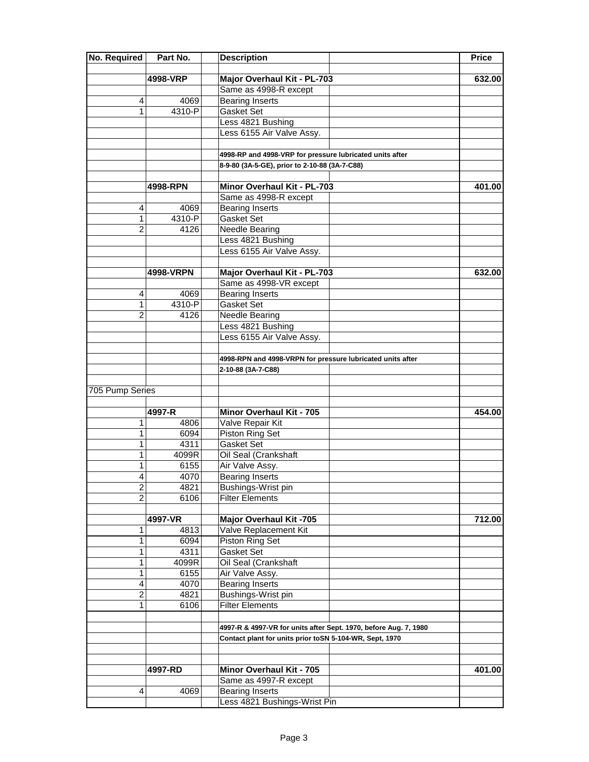| No. Required    | Part No.        | <b>Description</b>                                               | Price  |
|-----------------|-----------------|------------------------------------------------------------------|--------|
|                 |                 |                                                                  |        |
|                 | 4998-VRP        | Major Overhaul Kit - PL-703                                      | 632.00 |
| 4               | 4069            | Same as 4998-R except<br><b>Bearing Inserts</b>                  |        |
| 1               | 4310-P          | Gasket Set                                                       |        |
|                 |                 | Less 4821 Bushing                                                |        |
|                 |                 | Less 6155 Air Valve Assy.                                        |        |
|                 |                 |                                                                  |        |
|                 |                 | 4998-RP and 4998-VRP for pressure lubricated units after         |        |
|                 |                 | 8-9-80 (3A-5-GE), prior to 2-10-88 (3A-7-C88)                    |        |
|                 |                 |                                                                  |        |
|                 | 4998-RPN        | Minor Overhaul Kit - PL-703                                      | 401.00 |
|                 |                 | Same as 4998-R except                                            |        |
| 4               | 4069            | <b>Bearing Inserts</b>                                           |        |
| 1               | 4310-P          | Gasket Set                                                       |        |
| $\overline{2}$  | 4126            | Needle Bearing                                                   |        |
|                 |                 | Less 4821 Bushing                                                |        |
|                 |                 | Less 6155 Air Valve Assy.                                        |        |
|                 |                 |                                                                  |        |
|                 | 4998-VRPN       | Major Overhaul Kit - PL-703                                      | 632.00 |
|                 |                 | Same as 4998-VR except                                           |        |
| 4               | 4069            | <b>Bearing Inserts</b>                                           |        |
| 1               | 4310-P          | <b>Gasket Set</b>                                                |        |
| $\overline{2}$  | 4126            | Needle Bearing                                                   |        |
|                 |                 | Less 4821 Bushing                                                |        |
|                 |                 | Less 6155 Air Valve Assy.                                        |        |
|                 |                 |                                                                  |        |
|                 |                 | 4998-RPN and 4998-VRPN for pressure lubricated units after       |        |
|                 |                 | 2-10-88 (3A-7-C88)                                               |        |
|                 |                 |                                                                  |        |
| 705 Pump Series |                 |                                                                  |        |
|                 |                 |                                                                  |        |
|                 | 4997-R          | Minor Overhaul Kit - 705                                         | 454.00 |
| 1               | 4806            | Valve Repair Kit                                                 |        |
| 1               | 6094            | Piston Ring Set                                                  |        |
| 1               | 4311            | Gasket Set                                                       |        |
| 1               | 4099R           | Oil Seal (Crankshaft                                             |        |
| 1               | 6155            | Air Valve Assy.                                                  |        |
| 4               | 4070            | <b>Bearing Inserts</b>                                           |        |
| $\overline{c}$  | 4821            | Bushings-Wrist pin                                               |        |
| $\overline{2}$  | 6106            | <b>Filter Elements</b>                                           |        |
|                 |                 |                                                                  |        |
| 1               | 4997-VR<br>4813 | <b>Major Overhaul Kit -705</b><br>Valve Replacement Kit          | 712.00 |
|                 |                 |                                                                  |        |
| 1<br>1          | 6094            | Piston Ring Set                                                  |        |
| 1               | 4311<br>4099R   | Gasket Set<br>Oil Seal (Crankshaft                               |        |
| 1               | 6155            |                                                                  |        |
| 4               | 4070            | Air Valve Assy.<br><b>Bearing Inserts</b>                        |        |
| 2               | 4821            | Bushings-Wrist pin                                               |        |
| 1               | 6106            | <b>Filter Elements</b>                                           |        |
|                 |                 |                                                                  |        |
|                 |                 | 4997-R & 4997-VR for units after Sept. 1970, before Aug. 7, 1980 |        |
|                 |                 | Contact plant for units prior toSN 5-104-WR, Sept, 1970          |        |
|                 |                 |                                                                  |        |
|                 |                 |                                                                  |        |
|                 | 4997-RD         | Minor Overhaul Kit - 705                                         | 401.00 |
|                 |                 | Same as 4997-R except                                            |        |
| 4               | 4069            | <b>Bearing Inserts</b>                                           |        |
|                 |                 | Less 4821 Bushings-Wrist Pin                                     |        |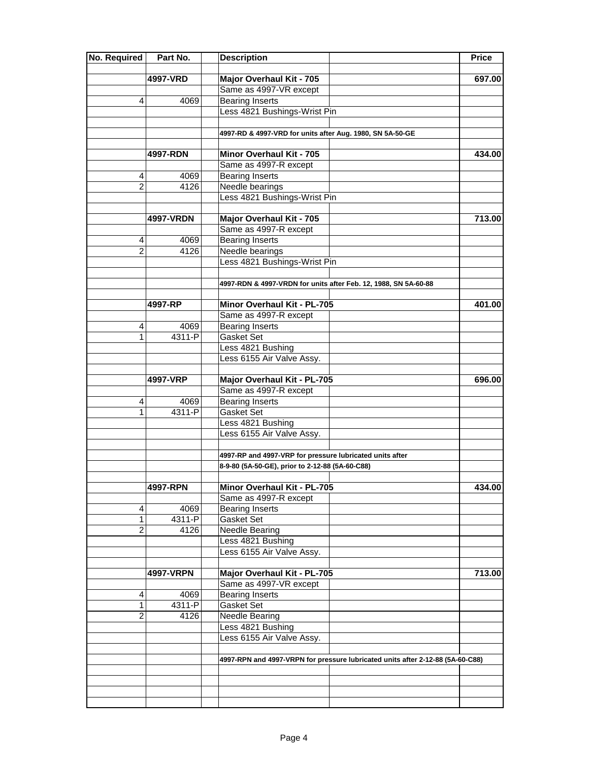| No. Required   | Part No.  | <b>Description</b>                                                             | Price  |
|----------------|-----------|--------------------------------------------------------------------------------|--------|
|                | 4997-VRD  | Major Overhaul Kit - 705                                                       | 697.00 |
|                |           | Same as 4997-VR except                                                         |        |
| 4              | 4069      | <b>Bearing Inserts</b>                                                         |        |
|                |           | Less 4821 Bushings-Wrist Pin                                                   |        |
|                |           |                                                                                |        |
|                |           | 4997-RD & 4997-VRD for units after Aug. 1980, SN 5A-50-GE                      |        |
|                |           |                                                                                |        |
|                | 4997-RDN  | Minor Overhaul Kit - 705                                                       | 434.00 |
|                |           | Same as 4997-R except                                                          |        |
| 4              | 4069      | <b>Bearing Inserts</b>                                                         |        |
| $\overline{2}$ | 4126      | Needle bearings                                                                |        |
|                |           | Less 4821 Bushings-Wrist Pin                                                   |        |
|                |           |                                                                                |        |
|                | 4997-VRDN | Major Overhaul Kit - 705                                                       | 713.00 |
|                |           | Same as 4997-R except                                                          |        |
| 4              | 4069      | <b>Bearing Inserts</b>                                                         |        |
| $\overline{2}$ | 4126      | Needle bearings                                                                |        |
|                |           | Less 4821 Bushings-Wrist Pin                                                   |        |
|                |           |                                                                                |        |
|                |           | 4997-RDN & 4997-VRDN for units after Feb. 12, 1988, SN 5A-60-88                |        |
|                |           |                                                                                |        |
|                | 4997-RP   | Minor Overhaul Kit - PL-705                                                    | 401.00 |
|                |           | Same as 4997-R except                                                          |        |
| 4              | 4069      | <b>Bearing Inserts</b>                                                         |        |
| 1              | 4311-P    | <b>Gasket Set</b>                                                              |        |
|                |           | Less 4821 Bushing                                                              |        |
|                |           | Less 6155 Air Valve Assy.                                                      |        |
|                |           |                                                                                |        |
|                | 4997-VRP  | Major Overhaul Kit - PL-705<br>Same as 4997-R except                           | 696.00 |
| 4              | 4069      | <b>Bearing Inserts</b>                                                         |        |
| 1              | 4311-P    | Gasket Set                                                                     |        |
|                |           | Less 4821 Bushing                                                              |        |
|                |           | Less 6155 Air Valve Assy.                                                      |        |
|                |           |                                                                                |        |
|                |           | 4997-RP and 4997-VRP for pressure lubricated units after                       |        |
|                |           | 8-9-80 (5A-50-GE), prior to 2-12-88 (5A-60-C88)                                |        |
|                |           |                                                                                |        |
|                | 4997-RPN  | Minor Overhaul Kit - PL-705                                                    | 434.00 |
|                |           | Same as 4997-R except                                                          |        |
| 4              | 4069      | <b>Bearing Inserts</b>                                                         |        |
| 1              | 4311-P    | Gasket Set                                                                     |        |
| $\overline{2}$ | 4126      | Needle Bearing                                                                 |        |
|                |           | Less 4821 Bushing                                                              |        |
|                |           | Less 6155 Air Valve Assy.                                                      |        |
|                |           |                                                                                |        |
|                | 4997-VRPN | Major Overhaul Kit - PL-705                                                    | 713.00 |
|                |           | Same as 4997-VR except                                                         |        |
| 4              | 4069      | <b>Bearing Inserts</b>                                                         |        |
| 1              | 4311-P    | Gasket Set                                                                     |        |
| $\overline{2}$ | 4126      | Needle Bearing                                                                 |        |
|                |           | Less 4821 Bushing                                                              |        |
|                |           | Less 6155 Air Valve Assy.                                                      |        |
|                |           |                                                                                |        |
|                |           | 4997-RPN and 4997-VRPN for pressure lubricated units after 2-12-88 (5A-60-C88) |        |
|                |           |                                                                                |        |
|                |           |                                                                                |        |
|                |           |                                                                                |        |
|                |           |                                                                                |        |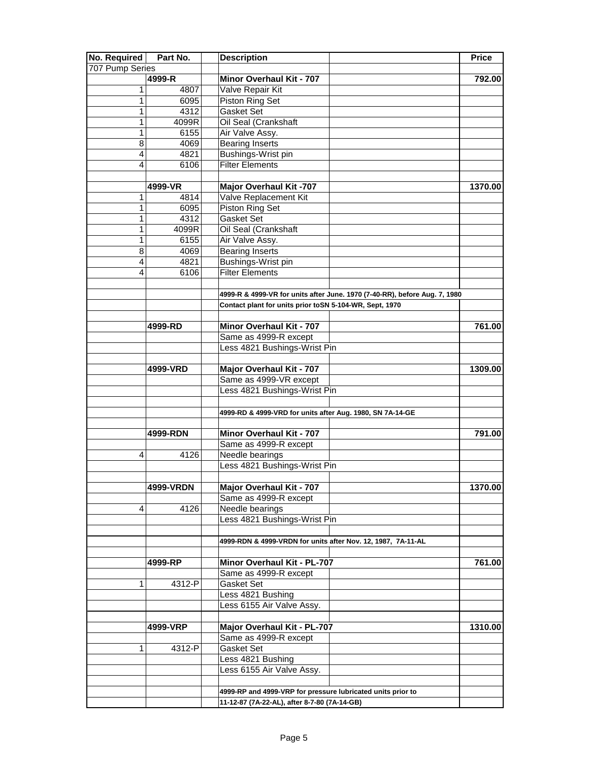| No. Required    | Part No.  | <b>Description</b>                                                         | <b>Price</b> |
|-----------------|-----------|----------------------------------------------------------------------------|--------------|
| 707 Pump Series |           |                                                                            |              |
|                 | 4999-R    | Minor Overhaul Kit - 707                                                   | 792.00       |
| 1               | 4807      | Valve Repair Kit                                                           |              |
| 1               | 6095      | Piston Ring Set                                                            |              |
| 1               | 4312      | Gasket Set                                                                 |              |
| 1               | 4099R     | Oil Seal (Crankshaft                                                       |              |
| 1               | 6155      | Air Valve Assy.                                                            |              |
| 8               | 4069      | <b>Bearing Inserts</b>                                                     |              |
| 4               | 4821      | Bushings-Wrist pin                                                         |              |
| 4               | 6106      | <b>Filter Elements</b>                                                     |              |
|                 |           |                                                                            |              |
|                 | 4999-VR   | <b>Major Overhaul Kit -707</b>                                             | 1370.00      |
| 1               | 4814      | Valve Replacement Kit                                                      |              |
| 1               | 6095      | Piston Ring Set                                                            |              |
| 1               | 4312      | Gasket Set                                                                 |              |
| 1               | 4099R     | Oil Seal (Crankshaft                                                       |              |
| 1               | 6155      | Air Valve Assy.                                                            |              |
| 8               | 4069      | <b>Bearing Inserts</b>                                                     |              |
| 4               | 4821      | Bushings-Wrist pin                                                         |              |
| 4               | 6106      | <b>Filter Elements</b>                                                     |              |
|                 |           |                                                                            |              |
|                 |           | 4999-R & 4999-VR for units after June. 1970 (7-40-RR), before Aug. 7, 1980 |              |
|                 |           | Contact plant for units prior toSN 5-104-WR, Sept, 1970                    |              |
|                 |           |                                                                            |              |
|                 | 4999-RD   | Minor Overhaul Kit - 707                                                   | 761.00       |
|                 |           | Same as 4999-R except                                                      |              |
|                 |           | Less 4821 Bushings-Wrist Pin                                               |              |
|                 |           |                                                                            |              |
|                 | 4999-VRD  | Major Overhaul Kit - 707                                                   | 1309.00      |
|                 |           | Same as 4999-VR except                                                     |              |
|                 |           | Less 4821 Bushings-Wrist Pin                                               |              |
|                 |           |                                                                            |              |
|                 |           | 4999-RD & 4999-VRD for units after Aug. 1980, SN 7A-14-GE                  |              |
|                 |           |                                                                            |              |
|                 | 4999-RDN  | Minor Overhaul Kit - 707                                                   | 791.00       |
|                 |           | Same as 4999-R except                                                      |              |
| 4               | 4126      | Needle bearings                                                            |              |
|                 |           | Less 4821 Bushings-Wrist Pin                                               |              |
|                 |           |                                                                            |              |
|                 | 4999-VRDN | Major Overhaul Kit - 707                                                   | 1370.00      |
|                 |           | Same as 4999-R except                                                      |              |
| 4               | 4126      | Needle bearings                                                            |              |
|                 |           | Less 4821 Bushings-Wrist Pin                                               |              |
|                 |           |                                                                            |              |
|                 |           |                                                                            |              |
|                 |           | 4999-RDN & 4999-VRDN for units after Nov. 12, 1987, 7A-11-AL               |              |
|                 | 4999-RP   | Minor Overhaul Kit - PL-707                                                |              |
|                 |           | Same as 4999-R except                                                      | 761.00       |
|                 |           |                                                                            |              |
| 1               | 4312-P    | Gasket Set                                                                 |              |
|                 |           | Less 4821 Bushing                                                          |              |
|                 |           | Less 6155 Air Valve Assy.                                                  |              |
|                 |           |                                                                            |              |
|                 | 4999-VRP  | Major Overhaul Kit - PL-707                                                | 1310.00      |
|                 |           | Same as 4999-R except                                                      |              |
| 1               | 4312-P    | Gasket Set                                                                 |              |
|                 |           | Less 4821 Bushing                                                          |              |
|                 |           | Less 6155 Air Valve Assy.                                                  |              |
|                 |           |                                                                            |              |
|                 |           | 4999-RP and 4999-VRP for pressure lubricated units prior to                |              |
|                 |           | 11-12-87 (7A-22-AL), after 8-7-80 (7A-14-GB)                               |              |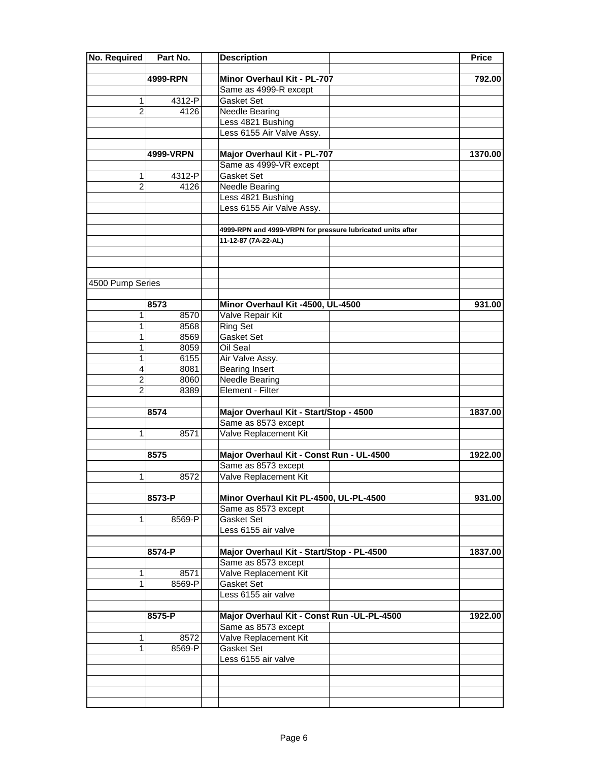| <b>No. Required</b> | Part No.  | <b>Description</b>                                         | <b>Price</b> |
|---------------------|-----------|------------------------------------------------------------|--------------|
|                     |           |                                                            |              |
|                     | 4999-RPN  | Minor Overhaul Kit - PL-707                                | 792.00       |
|                     |           | Same as 4999-R except                                      |              |
| 1                   | 4312-P    | Gasket Set                                                 |              |
| $\overline{2}$      | 4126      | Needle Bearing                                             |              |
|                     |           | Less 4821 Bushing                                          |              |
|                     |           | Less 6155 Air Valve Assy.                                  |              |
|                     |           |                                                            |              |
|                     | 4999-VRPN | Major Overhaul Kit - PL-707                                | 1370.00      |
|                     |           | Same as 4999-VR except                                     |              |
| 1                   | 4312-P    | Gasket Set                                                 |              |
| $\overline{2}$      | 4126      | Needle Bearing                                             |              |
|                     |           | Less 4821 Bushing                                          |              |
|                     |           | Less 6155 Air Valve Assy.                                  |              |
|                     |           |                                                            |              |
|                     |           | 4999-RPN and 4999-VRPN for pressure lubricated units after |              |
|                     |           | 11-12-87 (7A-22-AL)                                        |              |
|                     |           |                                                            |              |
|                     |           |                                                            |              |
| 4500 Pump Series    |           |                                                            |              |
|                     |           |                                                            |              |
|                     | 8573      | Minor Overhaul Kit -4500, UL-4500                          | 931.00       |
| 1                   | 8570      | Valve Repair Kit                                           |              |
| 1                   | 8568      | <b>Ring Set</b>                                            |              |
| 1                   | 8569      | Gasket Set                                                 |              |
| 1                   | 8059      | Oil Seal                                                   |              |
| 1                   | 6155      | Air Valve Assy.                                            |              |
| $\overline{4}$      | 8081      | <b>Bearing Insert</b>                                      |              |
| $\overline{2}$      | 8060      | Needle Bearing                                             |              |
| $\overline{2}$      | 8389      | Element - Filter                                           |              |
|                     |           |                                                            |              |
|                     | 8574      | Major Overhaul Kit - Start/Stop - 4500                     | 1837.00      |
|                     |           | Same as 8573 except                                        |              |
| 1                   | 8571      | Valve Replacement Kit                                      |              |
|                     |           |                                                            |              |
|                     | 8575      | Major Overhaul Kit - Const Run - UL-4500                   | 1922.00      |
|                     |           | Same as 8573 except                                        |              |
| 1                   | 8572      | Valve Replacement Kit                                      |              |
|                     |           |                                                            |              |
|                     | 8573-P    | Minor Overhaul Kit PL-4500, UL-PL-4500                     | 931.00       |
|                     |           | Same as 8573 except                                        |              |
| 1                   | 8569-P    | Gasket Set                                                 |              |
|                     |           | Less 6155 air valve                                        |              |
|                     |           |                                                            |              |
|                     | 8574-P    | Major Overhaul Kit - Start/Stop - PL-4500                  | 1837.00      |
|                     |           | Same as 8573 except                                        |              |
| 1                   | 8571      | Valve Replacement Kit                                      |              |
| 1                   | 8569-P    | Gasket Set                                                 |              |
|                     |           | Less 6155 air valve                                        |              |
|                     |           |                                                            |              |
|                     | 8575-P    | Major Overhaul Kit - Const Run - UL-PL-4500                | 1922.00      |
|                     |           | Same as 8573 except                                        |              |
| 1                   | 8572      | Valve Replacement Kit                                      |              |
| 1                   | 8569-P    | Gasket Set                                                 |              |
|                     |           | Less 6155 air valve                                        |              |
|                     |           |                                                            |              |
|                     |           |                                                            |              |
|                     |           |                                                            |              |
|                     |           |                                                            |              |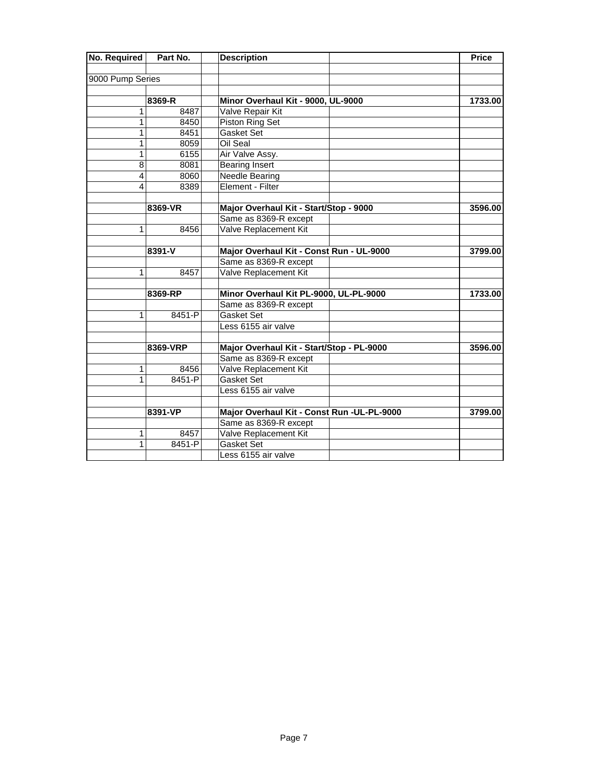| No. Required     | Part No.   | <b>Description</b>                         | <b>Price</b> |
|------------------|------------|--------------------------------------------|--------------|
| 9000 Pump Series |            |                                            |              |
|                  |            |                                            |              |
|                  | 8369-R     | Minor Overhaul Kit - 9000, UL-9000         | 1733.00      |
| 1                | 8487       | Valve Repair Kit                           |              |
| 1                | 8450       | Piston Ring Set                            |              |
| 1                | 8451       | <b>Gasket Set</b>                          |              |
| 1                | 8059       | Oil Seal                                   |              |
| 1                | 6155       | Air Valve Assy.                            |              |
| 8                | 8081       | <b>Bearing Insert</b>                      |              |
| $\overline{4}$   | 8060       | <b>Needle Bearing</b>                      |              |
| $\overline{4}$   | 8389       | Element - Filter                           |              |
|                  | 8369-VR    | Major Overhaul Kit - Start/Stop - 9000     | 3596.00      |
|                  |            |                                            |              |
|                  |            | Same as 8369-R except                      |              |
| 1                | 8456       | Valve Replacement Kit                      |              |
|                  | 8391-V     | Major Overhaul Kit - Const Run - UL-9000   | 3799.00      |
|                  |            | Same as 8369-R except                      |              |
| 1                | 8457       | Valve Replacement Kit                      |              |
|                  | 8369-RP    | Minor Overhaul Kit PL-9000, UL-PL-9000     | 1733.00      |
|                  |            | Same as 8369-R except                      |              |
| 1                | 8451-P     | <b>Gasket Set</b>                          |              |
|                  |            | Less 6155 air valve                        |              |
|                  |            |                                            |              |
|                  | 8369-VRP   | Major Overhaul Kit - Start/Stop - PL-9000  | 3596.00      |
|                  |            | Same as 8369-R except                      |              |
| 1                | 8456       | Valve Replacement Kit                      |              |
| 1.               | 8451-P     | <b>Gasket Set</b>                          |              |
|                  |            | Less 6155 air valve                        |              |
|                  | 8391-VP    | Major Overhaul Kit - Const Run -UL-PL-9000 | 3799.00      |
|                  |            | Same as 8369-R except                      |              |
| 1                | 8457       | Valve Replacement Kit                      |              |
| 1                | $8451 - P$ | <b>Gasket Set</b>                          |              |
|                  |            | Less 6155 air valve                        |              |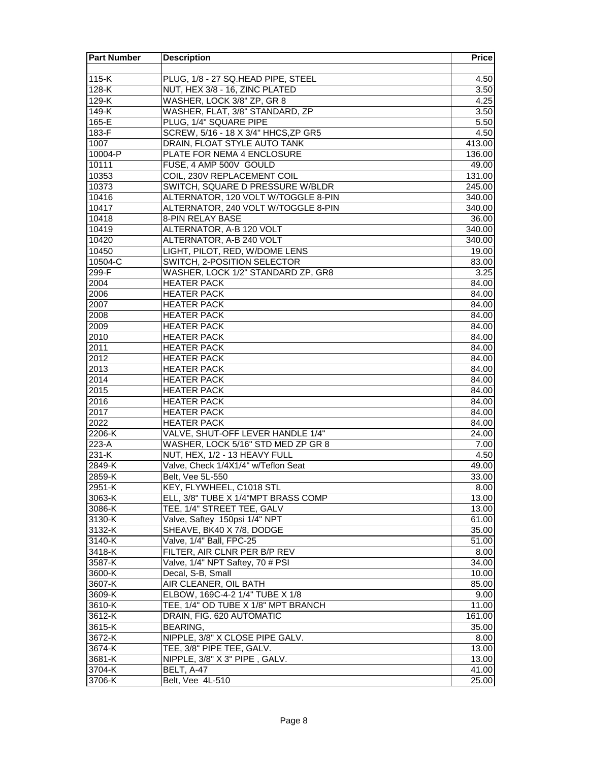| <b>Part Number</b> | <b>Description</b>                   | <b>Price</b> |
|--------------------|--------------------------------------|--------------|
|                    |                                      |              |
| $115-K$            | PLUG, 1/8 - 27 SQ.HEAD PIPE, STEEL   | 4.50         |
| 128-K              | NUT, HEX 3/8 - 16, ZINC PLATED       | 3.50         |
| 129-K              | WASHER, LOCK 3/8" ZP, GR 8           | 4.25         |
| 149-K              | WASHER, FLAT, 3/8" STANDARD, ZP      | 3.50         |
| 165-E              | PLUG, 1/4" SQUARE PIPE               | 5.50         |
| 183-F              | SCREW, 5/16 - 18 X 3/4" HHCS, ZP GR5 | 4.50         |
| 1007               | DRAIN, FLOAT STYLE AUTO TANK         | 413.00       |
| $10004 - P$        | PLATE FOR NEMA 4 ENCLOSURE           | 136.00       |
| 10111              | FUSE, 4 AMP 500V GOULD               | 49.00        |
| 10353              | <b>COIL, 230V REPLACEMENT COIL</b>   | 131.00       |
| 10373              | SWITCH, SQUARE D PRESSURE W/BLDR     | 245.00       |
| 10416              | ALTERNATOR, 120 VOLT W/TOGGLE 8-PIN  | 340.00       |
| 10417              | ALTERNATOR, 240 VOLT W/TOGGLE 8-PIN  | 340.00       |
| 10418              | 8-PIN RELAY BASE                     | 36.00        |
| 10419              | ALTERNATOR, A-B 120 VOLT             | 340.00       |
| 10420              | ALTERNATOR, A-B 240 VOLT             | 340.00       |
| 10450              | LIGHT, PILOT, RED, W/DOME LENS       | 19.00        |
| 10504-C            | SWITCH, 2-POSITION SELECTOR          | 83.00        |
| $299-F$            | WASHER, LOCK 1/2" STANDARD ZP, GR8   | 3.25         |
| 2004               | <b>HEATER PACK</b>                   | 84.00        |
| 2006               | <b>HEATER PACK</b>                   | 84.00        |
| 2007               | <b>HEATER PACK</b>                   | 84.00        |
| 2008               | <b>HEATER PACK</b>                   | 84.00        |
| 2009               | <b>HEATER PACK</b>                   | 84.00        |
| 2010               | <b>HEATER PACK</b>                   | 84.00        |
| 2011               | <b>HEATER PACK</b>                   | 84.00        |
| 2012               | <b>HEATER PACK</b>                   | 84.00        |
| 2013               | <b>HEATER PACK</b>                   | 84.00        |
| 2014               | <b>HEATER PACK</b>                   | 84.00        |
| 2015               | <b>HEATER PACK</b>                   | 84.00        |
| 2016               | <b>HEATER PACK</b>                   | 84.00        |
| 2017               | <b>HEATER PACK</b>                   | 84.00        |
| 2022               | <b>HEATER PACK</b>                   | 84.00        |
| 2206-K             | VALVE, SHUT-OFF LEVER HANDLE 1/4"    | 24.00        |
| 223-A              | WASHER, LOCK 5/16" STD MED ZP GR 8   | 7.00         |
| 231-K              | NUT, HEX, 1/2 - 13 HEAVY FULL        | 4.50         |
| 2849-K             | Valve, Check 1/4X1/4" w/Teflon Seat  | 49.00        |
| 2859-K             | Belt, Vee 5L-550                     | 33.00        |
| 2951-K             | KEY, FLYWHEEL, C1018 STL             | 8.00         |
| 3063-K             | ELL, 3/8" TUBE X 1/4"MPT BRASS COMP  | 13.00        |
| 3086-K             | TEE, 1/4" STREET TEE, GALV           | 13.00        |
| 3130-K             | Valve, Saftey 150psi 1/4" NPT        | 61.00        |
| 3132-K             | SHEAVE, BK40 X 7/8, DODGE            | 35.00        |
| 3140-K             | Valve, 1/4" Ball, FPC-25             | 51.00        |
| 3418-K             | FILTER, AIR CLNR PER B/P REV         | 8.00         |
| 3587-K             | Valve, 1/4" NPT Saftey, 70 # PSI     | 34.00        |
| 3600-K             | Decal, S-B, Small                    | 10.00        |
| 3607-K             | AIR CLEANER, OIL BATH                | 85.00        |
| 3609-K             | ELBOW, 169C-4-2 1/4" TUBE X 1/8      | 9.00         |
| 3610-K             | TEE, 1/4" OD TUBE X 1/8" MPT BRANCH  | 11.00        |
| 3612-K             | DRAIN, FIG. 620 AUTOMATIC            | 161.00       |
| 3615-K             | <b>BEARING,</b>                      | 35.00        |
| 3672-K             | NIPPLE, 3/8" X CLOSE PIPE GALV.      | 8.00         |
| 3674-K             | TEE, 3/8" PIPE TEE, GALV.            | 13.00        |
| 3681-K             | NIPPLE, 3/8" X 3" PIPE, GALV.        | 13.00        |
| 3704-K             | BELT, A-47                           | 41.00        |
| 3706-K             | Belt, Vee 4L-510                     | 25.00        |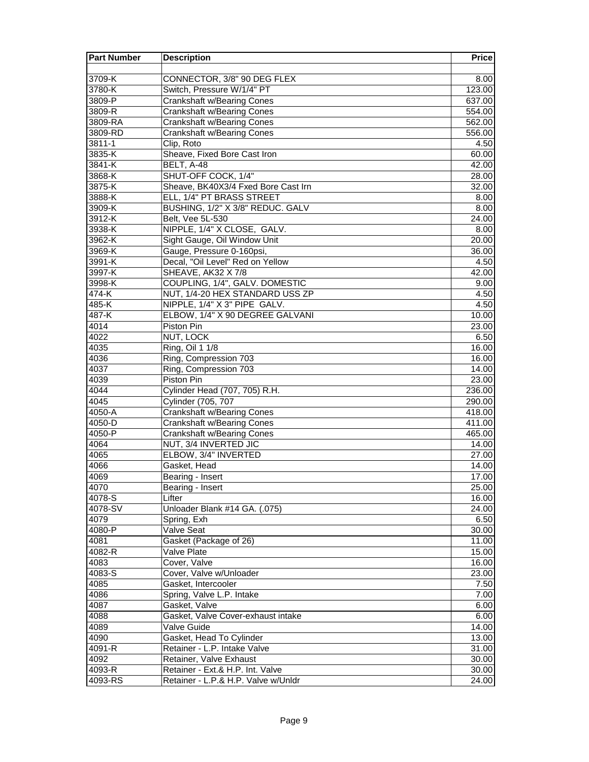| <b>Part Number</b> | <b>Description</b>                                       | <b>Price</b> |
|--------------------|----------------------------------------------------------|--------------|
|                    |                                                          |              |
| 3709-K             | CONNECTOR, 3/8" 90 DEG FLEX                              | 8.00         |
| 3780-K             | Switch, Pressure W/1/4" PT                               | 123.00       |
| 3809-P             | <b>Crankshaft w/Bearing Cones</b>                        | 637.00       |
| 3809-R             | <b>Crankshaft w/Bearing Cones</b>                        | 554.00       |
| 3809-RA            | <b>Crankshaft w/Bearing Cones</b>                        | 562.00       |
| 3809-RD            | <b>Crankshaft w/Bearing Cones</b>                        | 556.00       |
| 3811-1             | Clip, Roto                                               | 4.50         |
| 3835-K             | Sheave, Fixed Bore Cast Iron                             | 60.00        |
| 3841-K             | BELT, A-48                                               | 42.00        |
| 3868-K             | SHUT-OFF COCK, 1/4"                                      | 28.00        |
| 3875-K             | Sheave, BK40X3/4 Fxed Bore Cast Irn                      | 32.00        |
| 3888-K             | ELL, 1/4" PT BRASS STREET                                | 8.00         |
| 3909-K             | BUSHING, 1/2" X 3/8" REDUC. GALV                         | 8.00         |
| 3912-K             | Belt, Vee 5L-530                                         | 24.00        |
| 3938-K             | NIPPLE, 1/4" X CLOSE, GALV.                              | 8.00         |
| 3962-K             | Sight Gauge, Oil Window Unit                             | 20.00        |
| 3969-K             | Gauge, Pressure 0-160psi,                                | 36.00        |
| 3991-K             | Decal, "Oil Level" Red on Yellow                         | 4.50         |
| 3997-K             | SHEAVE, AK32 X 7/8                                       | 42.00        |
| 3998-K             | COUPLING, 1/4", GALV. DOMESTIC                           | 9.00         |
| 474-K              | NUT, 1/4-20 HEX STANDARD USS ZP                          | 4.50         |
| $485-K$            | NIPPLE, 1/4" X 3" PIPE GALV.                             | 4.50         |
| 487-K              | ELBOW, 1/4" X 90 DEGREE GALVANI                          | 10.00        |
| 4014               | Piston Pin                                               | 23.00        |
| 4022               | NUT, LOCK                                                | 6.50         |
| 4035               | Ring, Oil 1 1/8                                          | 16.00        |
| 4036               | Ring, Compression 703                                    | 16.00        |
| 4037               | Ring, Compression 703                                    | 14.00        |
| 4039               | Piston Pin                                               | 23.00        |
| 4044               | Cylinder Head (707, 705) R.H.                            | 236.00       |
| 4045               | <b>Cylinder (705, 707</b>                                | 290.00       |
| $4050 - A$         | <b>Crankshaft w/Bearing Cones</b>                        | 418.00       |
| 4050-D             | <b>Crankshaft w/Bearing Cones</b>                        | 411.00       |
| 4050-P             | <b>Crankshaft w/Bearing Cones</b>                        | 465.00       |
| 4064               | NUT, 3/4 INVERTED JIC                                    | 14.00        |
| 4065               | ELBOW, 3/4" INVERTED                                     | 27.00        |
| 4066               | Gasket, Head                                             | 14.00        |
| 4069               | Bearing - Insert                                         | 17.00        |
| 4070               | Bearing - Insert                                         | 25.00        |
| 4078-S             | Lifter                                                   | 16.00        |
| 4078-SV            | Unloader Blank #14 GA. (.075)                            | 24.00        |
| 4079               | Spring, Exh                                              | 6.50         |
| 4080-P             | Valve Seat                                               | 30.00        |
| 4081               | Gasket (Package of 26)                                   | 11.00        |
| 4082-R<br>4083     | Valve Plate                                              | 15.00        |
| 4083-S             | Cover, Valve<br>Cover, Valve w/Unloader                  | 16.00        |
| 4085               |                                                          | 23.00        |
| 4086               | Gasket, Intercooler<br>Spring, Valve L.P. Intake         | 7.50         |
| 4087               | Gasket, Valve                                            | 7.00<br>6.00 |
| 4088               | Gasket, Valve Cover-exhaust intake                       | 6.00         |
| 4089               | Valve Guide                                              | 14.00        |
| 4090               |                                                          | 13.00        |
| 4091-R             | Gasket, Head To Cylinder<br>Retainer - L.P. Intake Valve | 31.00        |
| 4092               | Retainer, Valve Exhaust                                  | 30.00        |
| 4093-R             | Retainer - Ext.& H.P. Int. Valve                         | 30.00        |
| 4093-RS            | Retainer - L.P.& H.P. Valve w/Unldr                      | 24.00        |
|                    |                                                          |              |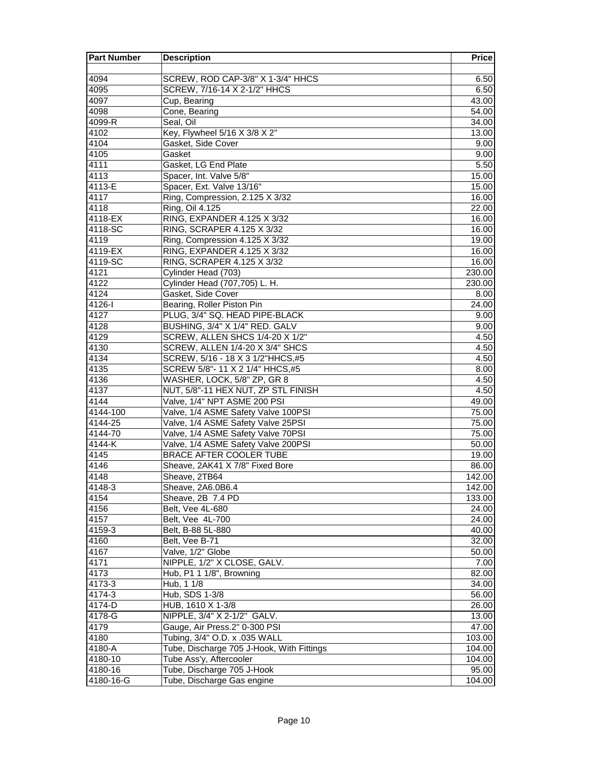| <b>Part Number</b> | <b>Description</b>                                                        | Price               |
|--------------------|---------------------------------------------------------------------------|---------------------|
|                    |                                                                           |                     |
| 4094               | SCREW, ROD CAP-3/8" X 1-3/4" HHCS                                         | 6.50                |
| 4095               | SCREW, 7/16-14 X 2-1/2" HHCS                                              | 6.50                |
| 4097               | Cup, Bearing                                                              | 43.00               |
| 4098               | Cone, Bearing                                                             | 54.00               |
| 4099-R             | Seal, Oil                                                                 | 34.00               |
| 4102               | Key, Flywheel 5/16 X 3/8 X 2"                                             | 13.00               |
| 4104               | Gasket, Side Cover                                                        | 9.00                |
| 4105               | Gasket                                                                    | 9.00                |
| 4111               | Gasket, LG End Plate                                                      | 5.50                |
| 4113               | Spacer, Int. Valve 5/8"                                                   | 15.00               |
| 4113-E             | Spacer, Ext. Valve 13/16"                                                 | 15.00               |
| 4117               | Ring, Compression, 2.125 X 3/32                                           | 16.00               |
| 4118               | Ring, Oil 4.125                                                           | 22.00               |
| 4118-EX            | RING, EXPANDER 4.125 X 3/32                                               | 16.00               |
| 4118-SC            | RING, SCRAPER 4.125 X 3/32                                                | 16.00               |
| 4119               | Ring, Compression 4.125 X 3/32                                            | 19.00               |
| 4119-EX            | RING, EXPANDER 4.125 X 3/32                                               | 16.00               |
| 4119-SC            | RING, SCRAPER 4.125 X 3/32                                                | 16.00               |
| 4121               | Cylinder Head (703)                                                       | 230.00              |
| 4122               | Cylinder Head (707,705) L. H.                                             | 230.00              |
| 4124               | Gasket, Side Cover                                                        | 8.00                |
| 4126-l             | Bearing, Roller Piston Pin                                                | 24.00               |
| 4127               | PLUG, 3/4" SQ. HEAD PIPE-BLACK                                            | 9.00                |
| 4128               | BUSHING, 3/4" X 1/4" RED. GALV                                            | 9.00                |
| 4129               | SCREW, ALLEN SHCS 1/4-20 X 1/2"                                           | 4.50                |
| 4130               | SCREW, ALLEN 1/4-20 X 3/4" SHCS                                           | 4.50                |
| 4134               | SCREW, 5/16 - 18 X 3 1/2"HHCS,#5                                          | 4.50                |
| 4135               | SCREW 5/8"- 11 X 2 1/4" HHCS,#5                                           | 8.00                |
| 4136               | WASHER, LOCK, 5/8" ZP, GR 8                                               | 4.50                |
| 4137               | NUT, 5/8"-11 HEX NUT, ZP STL FINISH                                       | 4.50                |
| 4144               | Valve, 1/4" NPT ASME 200 PSI                                              | 49.00               |
| 4144-100           | Valve, 1/4 ASME Safety Valve 100PSI<br>Valve, 1/4 ASME Safety Valve 25PSI | 75.00               |
| 4144-25<br>4144-70 | Valve, 1/4 ASME Safety Valve 70PSI                                        | 75.00<br>75.00      |
| 4144-K             | Valve, 1/4 ASME Safety Valve 200PSI                                       | 50.00               |
| 4145               | <b>BRACE AFTER COOLER TUBE</b>                                            | 19.00               |
| 4146               | Sheave, 2AK41 X 7/8" Fixed Bore                                           | 86.00               |
| 4148               | Sheave, 2TB64                                                             | $\overline{142.00}$ |
| 4148-3             | Sheave, 2A6.0B6.4                                                         | 142.00              |
| 4154               | Sheave, 2B 7.4 PD                                                         | 133.00              |
| 4156               | Belt, Vee 4L-680                                                          | 24.00               |
| 4157               | Belt, Vee 4L-700                                                          | 24.00               |
| 4159-3             | Belt, B-88 5L-880                                                         | 40.00               |
| 4160               | Belt, Vee B-71                                                            | 32.00               |
| 4167               | Valve, 1/2" Globe                                                         | 50.00               |
| 4171               | NIPPLE, 1/2" X CLOSE, GALV.                                               | 7.00                |
| 4173               | Hub, P1 1 1/8", Browning                                                  | 82.00               |
| 4173-3             | Hub, 1 1/8                                                                | 34.00               |
| 4174-3             | Hub, SDS 1-3/8                                                            | 56.00               |
| 4174-D             | HUB, 1610 X 1-3/8                                                         | 26.00               |
| 4178-G             | NIPPLE, 3/4" X 2-1/2" GALV.                                               | 13.00               |
| 4179               | Gauge, Air Press.2" 0-300 PSI                                             | 47.00               |
| 4180               | Tubing, 3/4" O.D. x .035 WALL                                             | 103.00              |
| 4180-A             | Tube, Discharge 705 J-Hook, With Fittings                                 | 104.00              |
| 4180-10            | Tube Ass'y, Aftercooler                                                   | 104.00              |
| $4180 - 16$        | Tube, Discharge 705 J-Hook                                                | 95.00               |
| 4180-16-G          | Tube, Discharge Gas engine                                                | 104.00              |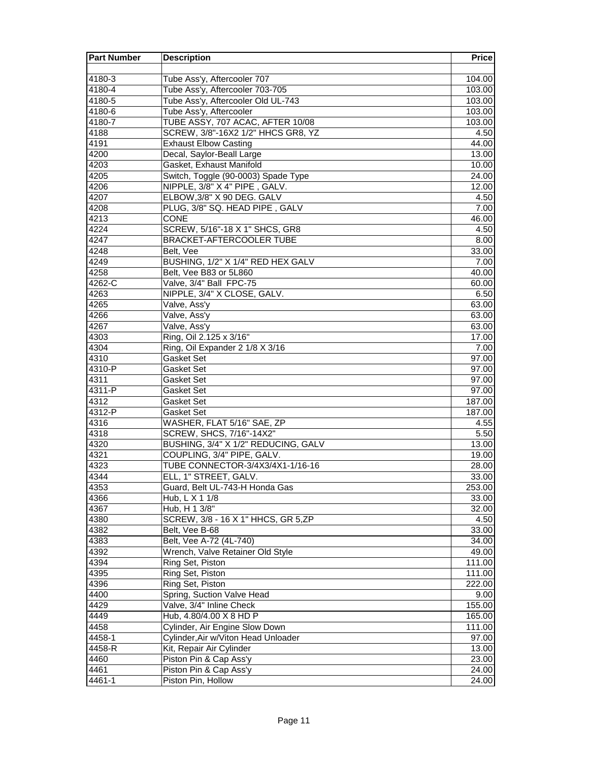| <b>Part Number</b> | <b>Description</b>                  | <b>Price</b>       |
|--------------------|-------------------------------------|--------------------|
|                    |                                     |                    |
| 4180-3             | Tube Ass'y, Aftercooler 707         | 104.00             |
| 4180-4             | Tube Ass'y, Aftercooler 703-705     | 103.00             |
| 4180-5             | Tube Ass'y, Aftercooler Old UL-743  | 103.00             |
| 4180-6             | Tube Ass'y, Aftercooler             | 103.00             |
| 4180-7             | TUBE ASSY, 707 ACAC, AFTER 10/08    | 103.00             |
| 4188               | SCREW, 3/8"-16X2 1/2" HHCS GR8, YZ  | 4.50               |
| 4191               | <b>Exhaust Elbow Casting</b>        | 44.00              |
| 4200               | Decal, Saylor-Beall Large           | $\overline{13.00}$ |
| 4203               | Gasket, Exhaust Manifold            | 10.00              |
| 4205               | Switch, Toggle (90-0003) Spade Type | 24.00              |
| 4206               | NIPPLE, 3/8" X 4" PIPE, GALV.       | 12.00              |
| 4207               | ELBOW, 3/8" X 90 DEG. GALV          | 4.50               |
| 4208               | PLUG, 3/8" SQ. HEAD PIPE, GALV      | 7.00               |
| 4213               | <b>CONE</b>                         | 46.00              |
| 4224               | SCREW, 5/16"-18 X 1" SHCS, GR8      | 4.50               |
| 4247               | BRACKET-AFTERCOOLER TUBE            | 8.00               |
| 4248               | Belt, Vee                           | 33.00              |
| 4249               | BUSHING, 1/2" X 1/4" RED HEX GALV   | 7.00               |
| 4258               | Belt, Vee B83 or 5L860              | 40.00              |
| 4262-C             | Valve, 3/4" Ball FPC-75             | 60.00              |
| 4263               | NIPPLE, 3/4" X CLOSE, GALV.         | 6.50               |
| 4265               | Valve, Ass'y                        | 63.00              |
| 4266               | Valve, Ass'y                        | 63.00              |
| 4267               | Valve, Ass'y                        | 63.00              |
| 4303               | Ring, Oil 2.125 x 3/16"             | 17.00              |
| 4304               | Ring, Oil Expander 2 1/8 X 3/16     | 7.00               |
| 4310               | Gasket Set                          | 97.00              |
| 4310-P             | Gasket Set                          | 97.00              |
| 4311               | Gasket Set                          | 97.00              |
| $4311 - P$         | Gasket Set                          | 97.00              |
| 4312               | <b>Gasket Set</b>                   | 187.00             |
| 4312-P             | Gasket Set                          | 187.00             |
| 4316               | WASHER, FLAT 5/16" SAE, ZP          | 4.55               |
| 4318               | SCREW, SHCS, 7/16"-14X2"            | 5.50               |
| 4320               | BUSHING, 3/4" X 1/2" REDUCING, GALV | 13.00              |
| 4321               | COUPLING, 3/4" PIPE, GALV.          | 19.00              |
| 4323               | TUBE CONNECTOR-3/4X3/4X1-1/16-16    | 28.00              |
| 4344               | ELL, 1" STREET, GALV.               | 33.00              |
| 4353               | Guard, Belt UL-743-H Honda Gas      | 253.00             |
| 4366               | Hub, L X 1 1/8                      | 33.00              |
| 4367               | Hub, H 1 3/8"                       | 32.00              |
| 4380               | SCREW, 3/8 - 16 X 1" HHCS, GR 5, ZP | 4.50               |
| 4382               | Belt, Vee B-68                      | 33.00              |
| 4383               | Belt, Vee A-72 (4L-740)             | 34.00              |
| 4392               | Wrench, Valve Retainer Old Style    | 49.00              |
| 4394               | Ring Set, Piston                    | 111.00             |
| 4395               | Ring Set, Piston                    | 111.00             |
|                    |                                     | 222.00             |
| 4396               | Ring Set, Piston                    |                    |
| 4400               | Spring, Suction Valve Head          | 9.00               |
| 4429               | Valve, 3/4" Inline Check            | 155.00             |
| 4449               | Hub, 4.80/4.00 X 8 HD P             | 165.00             |
| 4458               | Cylinder, Air Engine Slow Down      | 111.00             |
| 4458-1             | Cylinder, Air w/Viton Head Unloader | 97.00              |
| $4458 - R$         | Kit, Repair Air Cylinder            | 13.00              |
| 4460               | Piston Pin & Cap Ass'y              | 23.00              |
| 4461               | Piston Pin & Cap Ass'y              | 24.00              |
| 4461-1             | Piston Pin, Hollow                  | 24.00              |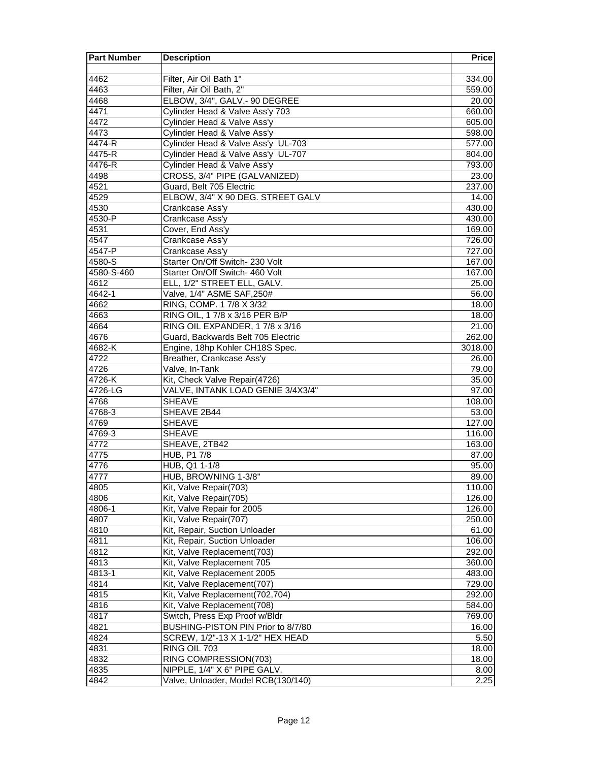| <b>Part Number</b> | <b>Description</b>                                        | <b>Price</b>     |
|--------------------|-----------------------------------------------------------|------------------|
|                    |                                                           |                  |
| 4462               | Filter, Air Oil Bath 1"                                   | 334.00           |
| 4463               | Filter, Air Oil Bath, 2"                                  | 559.00           |
| 4468               | ELBOW, 3/4", GALV.- 90 DEGREE                             | 20.00            |
| 4471               | Cylinder Head & Valve Ass'y 703                           | 660.00           |
| 4472               | <b>Cylinder Head &amp; Valve Ass'y</b>                    | 605.00           |
| 4473               | Cylinder Head & Valve Ass'y                               | 598.00           |
| 4474-R             | Cylinder Head & Valve Ass'y UL-703                        | 577.00           |
| 4475-R             | Cylinder Head & Valve Ass'y UL-707                        | 804.00           |
| 4476-R             | Cylinder Head & Valve Ass'y                               | 793.00           |
| 4498               | CROSS, 3/4" PIPE (GALVANIZED)                             | 23.00            |
| 4521               | Guard, Belt 705 Electric                                  | 237.00           |
| 4529               | ELBOW, 3/4" X 90 DEG. STREET GALV                         | 14.00            |
| 4530               | Crankcase Ass'y                                           | 430.00           |
| 4530-P             | Crankcase Ass'y                                           | 430.00           |
| 4531               | Cover, End Ass'y                                          | 169.00           |
| 4547               | Crankcase Ass'y                                           | 726.00           |
| 4547-P             | Crankcase Ass'y                                           | 727.00           |
| 4580-S             | Starter On/Off Switch- 230 Volt                           | 167.00           |
| 4580-S-460         | Starter On/Off Switch- 460 Volt                           | 167.00           |
| 4612               | ELL, 1/2" STREET ELL, GALV.                               | 25.00            |
| 4642-1             | Valve, 1/4" ASME SAF, 250#                                | 56.00            |
| 4662               | RING, COMP. 1 7/8 X 3/32                                  | 18.00            |
| 4663               | RING OIL, 17/8 x 3/16 PER B/P                             | 18.00            |
| 4664               | RING OIL EXPANDER, 17/8 x 3/16                            | 21.00            |
| 4676               | Guard, Backwards Belt 705 Electric                        | 262.00           |
| 4682-K             | Engine, 18hp Kohler CH18S Spec.                           | 3018.00          |
| 4722               | Breather, Crankcase Ass'y                                 | 26.00            |
| 4726               | Valve, In-Tank                                            | 79.00            |
| $4726-K$           | Kit, Check Valve Repair(4726)                             | 35.00            |
| 4726-LG            | VALVE, INTANK LOAD GENIE 3/4X3/4"                         | 97.00            |
| 4768               | <b>SHEAVE</b>                                             | 108.00           |
| 4768-3             | SHEAVE 2B44                                               | 53.00            |
| 4769               | <b>SHEAVE</b>                                             | 127.00           |
| 4769-3             | <b>SHEAVE</b>                                             | 116.00           |
| 4772               | SHEAVE, 2TB42                                             | 163.00           |
| 4775               | <b>HUB, P1 7/8</b>                                        | 87.00            |
| 4776               | HUB, Q1 1-1/8                                             | 95.00            |
| 4777               | HUB, BROWNING 1-3/8"                                      | 89.00            |
| 4805               | Kit, Valve Repair(703)                                    | 110.00           |
| 4806               | Kit, Valve Repair(705)                                    | 126.00           |
| 4806-1             | Kit, Valve Repair for 2005                                | 126.00           |
| 4807               | Kit, Valve Repair(707)                                    | 250.00           |
| 4810               | Kit, Repair, Suction Unloader                             | 61.00            |
| 4811               | Kit, Repair, Suction Unloader                             | 106.00           |
| 4812               | Kit, Valve Replacement(703)                               | 292.00           |
| 4813<br>4813-1     | Kit, Valve Replacement 705<br>Kit, Valve Replacement 2005 | 360.00<br>483.00 |
| 4814               | Kit, Valve Replacement(707)                               |                  |
| 4815               | Kit, Valve Replacement(702,704)                           | 729.00           |
| 4816               | Kit, Valve Replacement(708)                               | 292.00           |
| 4817               | Switch, Press Exp Proof w/Bldr                            | 584.00<br>769.00 |
| 4821               | BUSHING-PISTON PIN Prior to 8/7/80                        | 16.00            |
| 4824               | SCREW, 1/2"-13 X 1-1/2" HEX HEAD                          | 5.50             |
| 4831               | RING OIL 703                                              | 18.00            |
| 4832               | RING COMPRESSION(703)                                     | 18.00            |
| 4835               | NIPPLE, 1/4" X 6" PIPE GALV.                              | 8.00             |
| 4842               | Valve, Unloader, Model RCB(130/140)                       | 2.25             |
|                    |                                                           |                  |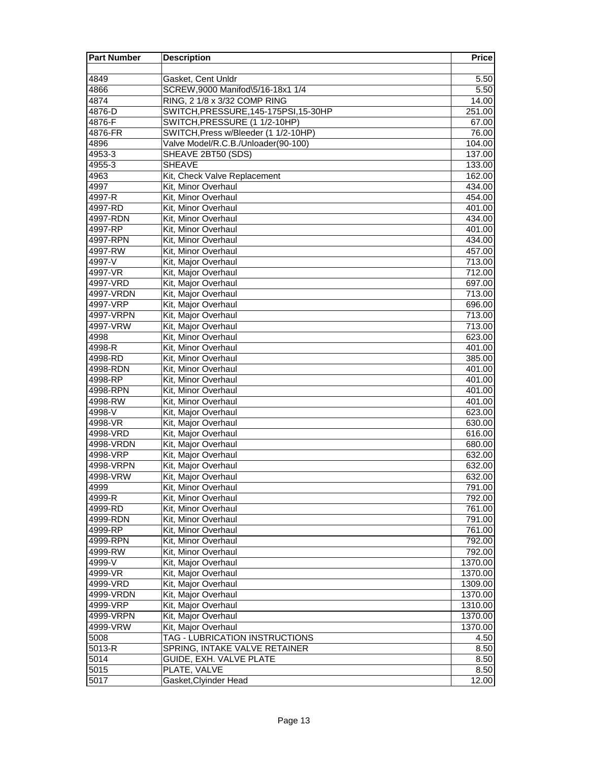| <b>Part Number</b> | <b>Description</b>                    | <b>Price</b> |
|--------------------|---------------------------------------|--------------|
|                    |                                       |              |
| 4849               | Gasket, Cent Unldr                    | 5.50         |
| 4866               | SCREW, 9000 Manifod\5/16-18x1 1/4     | 5.50         |
| 4874               | RING, 2 1/8 x 3/32 COMP RING          | 14.00        |
| 4876-D             | SWITCH, PRESSURE, 145-175PSI, 15-30HP | 251.00       |
| 4876-F             | SWITCH, PRESSURE (1 1/2-10HP)         | 67.00        |
| 4876-FR            | SWITCH, Press w/Bleeder (1 1/2-10HP)  | 76.00        |
| 4896               | Valve Model/R.C.B./Unloader(90-100)   | 104.00       |
| 4953-3             | SHEAVE 2BT50 (SDS)                    | 137.00       |
| 4955-3             | <b>SHEAVE</b>                         | 133.00       |
| 4963               | Kit, Check Valve Replacement          | 162.00       |
| 4997               | Kit, Minor Overhaul                   | 434.00       |
| 4997-R             | Kit, Minor Overhaul                   | 454.00       |
| 4997-RD            | Kit, Minor Overhaul                   | 401.00       |
| 4997-RDN           | Kit, Minor Overhaul                   | 434.00       |
| 4997-RP            | Kit, Minor Overhaul                   | 401.00       |
| 4997-RPN           | Kit, Minor Overhaul                   | 434.00       |
| 4997-RW            | Kit, Minor Overhaul                   | 457.00       |
| 4997-V             | Kit, Major Overhaul                   | 713.00       |
| 4997-VR            | Kit, Major Overhaul                   | 712.00       |
| 4997-VRD           | Kit, Major Overhaul                   | 697.00       |
| 4997-VRDN          | Kit, Major Overhaul                   | 713.00       |
| 4997-VRP           | Kit, Major Overhaul                   | 696.00       |
| 4997-VRPN          | Kit, Major Overhaul                   | 713.00       |
| 4997-VRW           | Kit, Major Overhaul                   | 713.00       |
| 4998               | Kit, Minor Overhaul                   | 623.00       |
| 4998-R             | Kit, Minor Overhaul                   | 401.00       |
| 4998-RD            | Kit. Minor Overhaul                   | 385.00       |
| 4998-RDN           | Kit. Minor Overhaul                   | 401.00       |
| 4998-RP            | Kit, Minor Overhaul                   | 401.00       |
| 4998-RPN           | Kit, Minor Overhaul                   | 401.00       |
| 4998-RW            | Kit, Minor Overhaul                   | 401.00       |
| 4998-V             | Kit, Major Overhaul                   | 623.00       |
| 4998-VR            | Kit, Major Overhaul                   | 630.00       |
| 4998-VRD           | Kit, Major Overhaul                   | 616.00       |
| 4998-VRDN          | Kit, Major Overhaul                   | 680.00       |
| 4998-VRP           | Kit, Major Overhaul                   | 632.00       |
| 4998-VRPN          | Kit, Major Overhaul                   | 632.00       |
| 4998-VRW           | Kit, Major Overhaul                   | 632.00       |
| 4999               | Kit, Minor Overhaul                   | 791.00       |
| 4999-R             | Kit, Minor Overhaul                   | 792.00       |
| 4999-RD            | Kit, Minor Overhaul                   | 761.00       |
| 4999-RDN           | Kit, Minor Overhaul                   | 791.00       |
| 4999-RP            | Kit, Minor Overhaul                   | 761.00       |
| 4999-RPN           | Kit, Minor Overhaul                   | 792.00       |
| 4999-RW            | Kit, Minor Overhaul                   | 792.00       |
| 4999-V             | Kit, Major Overhaul                   | 1370.00      |
| 4999-VR            | Kit, Major Overhaul                   | 1370.00      |
| 4999-VRD           | Kit, Major Overhaul                   | 1309.00      |
| 4999-VRDN          | Kit, Major Overhaul                   | 1370.00      |
| 4999-VRP           | Kit, Major Overhaul                   | 1310.00      |
| 4999-VRPN          | Kit, Major Overhaul                   | 1370.00      |
| 4999-VRW           | Kit, Major Overhaul                   | 1370.00      |
| 5008               | TAG - LUBRICATION INSTRUCTIONS        | 4.50         |
| $5013 - R$         | SPRING, INTAKE VALVE RETAINER         | 8.50         |
| $501\overline{4}$  | GUIDE, EXH. VALVE PLATE               | 8.50         |
| 5015               | PLATE, VALVE                          | 8.50         |
| $501\overline{7}$  | Gasket, Clyinder Head                 | 12.00        |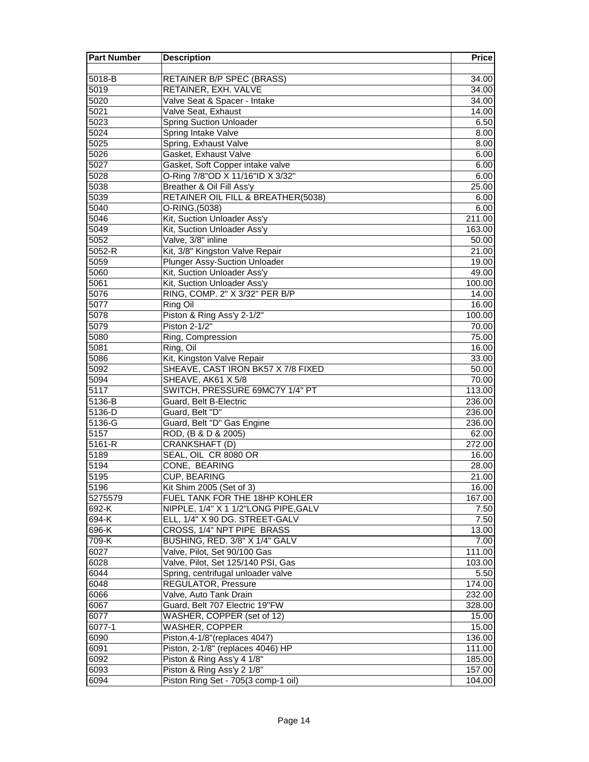| 5018-B<br><b>RETAINER B/P SPEC (BRASS)</b><br>34.00<br>RETAINER, EXH. VALVE<br>5019<br>34.00<br>5020<br>Valve Seat & Spacer - Intake<br>34.00<br>5021<br>Valve Seat, Exhaust<br>14.00<br>5023<br><b>Spring Suction Unloader</b><br>6.50<br>5024<br>Spring Intake Valve<br>8.00<br>5025<br>Spring, Exhaust Valve<br>8.00<br>Gasket, Exhaust Valve<br>5026<br>6.00<br>Gasket, Soft Copper intake valve<br>5027<br>6.00<br>O-Ring 7/8"OD X 11/16"ID X 3/32"<br>5028<br>6.00<br>5038<br>Breather & Oil Fill Ass'y<br>25.00<br>5039<br>RETAINER OIL FILL & BREATHER(5038)<br>6.00<br>5040<br>O-RING, (5038)<br>6.00<br>Kit, Suction Unloader Ass'y<br>5046<br>211.00<br>5049<br>Kit, Suction Unloader Ass'y<br>163.00<br>Valve, 3/8" inline<br>5052<br>50.00<br>$5052-R$<br>Kit, 3/8" Kingston Valve Repair<br>21.00<br>5059<br><b>Plunger Assy-Suction Unloader</b><br>19.00<br>Kit, Suction Unloader Ass'y<br>5060<br>49.00<br>5061<br>Kit, Suction Unloader Ass'y<br>100.00<br>RING, COMP. 2" X 3/32" PER B/P<br>5076<br>14.00<br>5077<br>Ring Oil<br>16.00<br>Piston & Ring Ass'y 2-1/2"<br>5078<br>100.00<br>Piston 2-1/2"<br>5079<br>70.00<br>5080<br>Ring, Compression<br>75.00<br>5081<br>Ring, Oil<br>16.00<br>Kit, Kingston Valve Repair<br>5086<br>33.00<br>5092<br>SHEAVE, CAST IRON BK57 X 7/8 FIXED<br>50.00<br>5094<br>SHEAVE, AK61 X 5/8<br>70.00<br>SWITCH, PRESSURE 69MC7Y 1/4" PT<br>5117<br>113.00<br>5136-B<br>Guard, Belt B-Electric<br>236.00<br>5136-D<br>Guard, Belt "D"<br>236.00<br>Guard, Belt "D" Gas Engine<br>5136-G<br>236.00<br>5157<br>ROD, (B & D & 2005)<br>62.00<br>$5161 - R$<br>CRANKSHAFT (D)<br>272.00<br>5189<br>SEAL, OIL CR 8080 OR<br>16.00<br>CONE, BEARING<br>5194<br>28.00<br><b>CUP, BEARING</b><br>5195<br>21.00<br>Kit Shim 2005 (Set of 3)<br>5196<br>16.00<br>FUEL TANK FOR THE 18HP KOHLER<br>5275579<br>167.00<br>692-K<br>NIPPLE, 1/4" X 1 1/2"LONG PIPE, GALV<br>7.50<br>694-K<br>ELL, 1/4" X 90 DG. STREET-GALV<br>7.50<br>696-K<br>CROSS, 1/4" NPT PIPE BRASS<br>13.00<br>709-K<br>BUSHING, RED. 3/8" X 1/4" GALV<br>7.00<br>Valve, Pilot, Set 90/100 Gas<br>6027<br>111.00<br>6028<br>Valve, Pilot, Set 125/140 PSI, Gas<br>103.00<br>6044<br>Spring, centrifugal unloader valve<br>5.50<br>6048<br>REGULATOR, Pressure<br>174.00<br>6066<br>Valve, Auto Tank Drain<br>232.00<br>6067<br>Guard, Belt 707 Electric 19"FW<br>328.00<br>WASHER, COPPER (set of 12)<br>6077<br>15.00<br><b>WASHER, COPPER</b><br>6077-1<br>15.00<br>6090<br>Piston, 4-1/8" (replaces 4047)<br>136.00<br>6091<br>Piston, 2-1/8" (replaces 4046) HP<br>111.00<br>6092<br>Piston & Ring Ass'y 4 1/8"<br>185.00<br>Piston & Ring Ass'y 2 1/8"<br>6093<br>157.00<br>6094<br>Piston Ring Set - 705(3 comp-1 oil)<br>104.00 | <b>Part Number</b> | <b>Description</b> | <b>Price</b> |
|---------------------------------------------------------------------------------------------------------------------------------------------------------------------------------------------------------------------------------------------------------------------------------------------------------------------------------------------------------------------------------------------------------------------------------------------------------------------------------------------------------------------------------------------------------------------------------------------------------------------------------------------------------------------------------------------------------------------------------------------------------------------------------------------------------------------------------------------------------------------------------------------------------------------------------------------------------------------------------------------------------------------------------------------------------------------------------------------------------------------------------------------------------------------------------------------------------------------------------------------------------------------------------------------------------------------------------------------------------------------------------------------------------------------------------------------------------------------------------------------------------------------------------------------------------------------------------------------------------------------------------------------------------------------------------------------------------------------------------------------------------------------------------------------------------------------------------------------------------------------------------------------------------------------------------------------------------------------------------------------------------------------------------------------------------------------------------------------------------------------------------------------------------------------------------------------------------------------------------------------------------------------------------------------------------------------------------------------------------------------------------------------------------------------------------------------------------------------------------------------------------------------------------------------------------------------------------------------------------------------------------------------------------------------------------------------------------------------------------------------------------|--------------------|--------------------|--------------|
|                                                                                                                                                                                                                                                                                                                                                                                                                                                                                                                                                                                                                                                                                                                                                                                                                                                                                                                                                                                                                                                                                                                                                                                                                                                                                                                                                                                                                                                                                                                                                                                                                                                                                                                                                                                                                                                                                                                                                                                                                                                                                                                                                                                                                                                                                                                                                                                                                                                                                                                                                                                                                                                                                                                                                         |                    |                    |              |
|                                                                                                                                                                                                                                                                                                                                                                                                                                                                                                                                                                                                                                                                                                                                                                                                                                                                                                                                                                                                                                                                                                                                                                                                                                                                                                                                                                                                                                                                                                                                                                                                                                                                                                                                                                                                                                                                                                                                                                                                                                                                                                                                                                                                                                                                                                                                                                                                                                                                                                                                                                                                                                                                                                                                                         |                    |                    |              |
|                                                                                                                                                                                                                                                                                                                                                                                                                                                                                                                                                                                                                                                                                                                                                                                                                                                                                                                                                                                                                                                                                                                                                                                                                                                                                                                                                                                                                                                                                                                                                                                                                                                                                                                                                                                                                                                                                                                                                                                                                                                                                                                                                                                                                                                                                                                                                                                                                                                                                                                                                                                                                                                                                                                                                         |                    |                    |              |
|                                                                                                                                                                                                                                                                                                                                                                                                                                                                                                                                                                                                                                                                                                                                                                                                                                                                                                                                                                                                                                                                                                                                                                                                                                                                                                                                                                                                                                                                                                                                                                                                                                                                                                                                                                                                                                                                                                                                                                                                                                                                                                                                                                                                                                                                                                                                                                                                                                                                                                                                                                                                                                                                                                                                                         |                    |                    |              |
|                                                                                                                                                                                                                                                                                                                                                                                                                                                                                                                                                                                                                                                                                                                                                                                                                                                                                                                                                                                                                                                                                                                                                                                                                                                                                                                                                                                                                                                                                                                                                                                                                                                                                                                                                                                                                                                                                                                                                                                                                                                                                                                                                                                                                                                                                                                                                                                                                                                                                                                                                                                                                                                                                                                                                         |                    |                    |              |
|                                                                                                                                                                                                                                                                                                                                                                                                                                                                                                                                                                                                                                                                                                                                                                                                                                                                                                                                                                                                                                                                                                                                                                                                                                                                                                                                                                                                                                                                                                                                                                                                                                                                                                                                                                                                                                                                                                                                                                                                                                                                                                                                                                                                                                                                                                                                                                                                                                                                                                                                                                                                                                                                                                                                                         |                    |                    |              |
|                                                                                                                                                                                                                                                                                                                                                                                                                                                                                                                                                                                                                                                                                                                                                                                                                                                                                                                                                                                                                                                                                                                                                                                                                                                                                                                                                                                                                                                                                                                                                                                                                                                                                                                                                                                                                                                                                                                                                                                                                                                                                                                                                                                                                                                                                                                                                                                                                                                                                                                                                                                                                                                                                                                                                         |                    |                    |              |
|                                                                                                                                                                                                                                                                                                                                                                                                                                                                                                                                                                                                                                                                                                                                                                                                                                                                                                                                                                                                                                                                                                                                                                                                                                                                                                                                                                                                                                                                                                                                                                                                                                                                                                                                                                                                                                                                                                                                                                                                                                                                                                                                                                                                                                                                                                                                                                                                                                                                                                                                                                                                                                                                                                                                                         |                    |                    |              |
|                                                                                                                                                                                                                                                                                                                                                                                                                                                                                                                                                                                                                                                                                                                                                                                                                                                                                                                                                                                                                                                                                                                                                                                                                                                                                                                                                                                                                                                                                                                                                                                                                                                                                                                                                                                                                                                                                                                                                                                                                                                                                                                                                                                                                                                                                                                                                                                                                                                                                                                                                                                                                                                                                                                                                         |                    |                    |              |
|                                                                                                                                                                                                                                                                                                                                                                                                                                                                                                                                                                                                                                                                                                                                                                                                                                                                                                                                                                                                                                                                                                                                                                                                                                                                                                                                                                                                                                                                                                                                                                                                                                                                                                                                                                                                                                                                                                                                                                                                                                                                                                                                                                                                                                                                                                                                                                                                                                                                                                                                                                                                                                                                                                                                                         |                    |                    |              |
|                                                                                                                                                                                                                                                                                                                                                                                                                                                                                                                                                                                                                                                                                                                                                                                                                                                                                                                                                                                                                                                                                                                                                                                                                                                                                                                                                                                                                                                                                                                                                                                                                                                                                                                                                                                                                                                                                                                                                                                                                                                                                                                                                                                                                                                                                                                                                                                                                                                                                                                                                                                                                                                                                                                                                         |                    |                    |              |
|                                                                                                                                                                                                                                                                                                                                                                                                                                                                                                                                                                                                                                                                                                                                                                                                                                                                                                                                                                                                                                                                                                                                                                                                                                                                                                                                                                                                                                                                                                                                                                                                                                                                                                                                                                                                                                                                                                                                                                                                                                                                                                                                                                                                                                                                                                                                                                                                                                                                                                                                                                                                                                                                                                                                                         |                    |                    |              |
|                                                                                                                                                                                                                                                                                                                                                                                                                                                                                                                                                                                                                                                                                                                                                                                                                                                                                                                                                                                                                                                                                                                                                                                                                                                                                                                                                                                                                                                                                                                                                                                                                                                                                                                                                                                                                                                                                                                                                                                                                                                                                                                                                                                                                                                                                                                                                                                                                                                                                                                                                                                                                                                                                                                                                         |                    |                    |              |
|                                                                                                                                                                                                                                                                                                                                                                                                                                                                                                                                                                                                                                                                                                                                                                                                                                                                                                                                                                                                                                                                                                                                                                                                                                                                                                                                                                                                                                                                                                                                                                                                                                                                                                                                                                                                                                                                                                                                                                                                                                                                                                                                                                                                                                                                                                                                                                                                                                                                                                                                                                                                                                                                                                                                                         |                    |                    |              |
|                                                                                                                                                                                                                                                                                                                                                                                                                                                                                                                                                                                                                                                                                                                                                                                                                                                                                                                                                                                                                                                                                                                                                                                                                                                                                                                                                                                                                                                                                                                                                                                                                                                                                                                                                                                                                                                                                                                                                                                                                                                                                                                                                                                                                                                                                                                                                                                                                                                                                                                                                                                                                                                                                                                                                         |                    |                    |              |
|                                                                                                                                                                                                                                                                                                                                                                                                                                                                                                                                                                                                                                                                                                                                                                                                                                                                                                                                                                                                                                                                                                                                                                                                                                                                                                                                                                                                                                                                                                                                                                                                                                                                                                                                                                                                                                                                                                                                                                                                                                                                                                                                                                                                                                                                                                                                                                                                                                                                                                                                                                                                                                                                                                                                                         |                    |                    |              |
|                                                                                                                                                                                                                                                                                                                                                                                                                                                                                                                                                                                                                                                                                                                                                                                                                                                                                                                                                                                                                                                                                                                                                                                                                                                                                                                                                                                                                                                                                                                                                                                                                                                                                                                                                                                                                                                                                                                                                                                                                                                                                                                                                                                                                                                                                                                                                                                                                                                                                                                                                                                                                                                                                                                                                         |                    |                    |              |
|                                                                                                                                                                                                                                                                                                                                                                                                                                                                                                                                                                                                                                                                                                                                                                                                                                                                                                                                                                                                                                                                                                                                                                                                                                                                                                                                                                                                                                                                                                                                                                                                                                                                                                                                                                                                                                                                                                                                                                                                                                                                                                                                                                                                                                                                                                                                                                                                                                                                                                                                                                                                                                                                                                                                                         |                    |                    |              |
|                                                                                                                                                                                                                                                                                                                                                                                                                                                                                                                                                                                                                                                                                                                                                                                                                                                                                                                                                                                                                                                                                                                                                                                                                                                                                                                                                                                                                                                                                                                                                                                                                                                                                                                                                                                                                                                                                                                                                                                                                                                                                                                                                                                                                                                                                                                                                                                                                                                                                                                                                                                                                                                                                                                                                         |                    |                    |              |
|                                                                                                                                                                                                                                                                                                                                                                                                                                                                                                                                                                                                                                                                                                                                                                                                                                                                                                                                                                                                                                                                                                                                                                                                                                                                                                                                                                                                                                                                                                                                                                                                                                                                                                                                                                                                                                                                                                                                                                                                                                                                                                                                                                                                                                                                                                                                                                                                                                                                                                                                                                                                                                                                                                                                                         |                    |                    |              |
|                                                                                                                                                                                                                                                                                                                                                                                                                                                                                                                                                                                                                                                                                                                                                                                                                                                                                                                                                                                                                                                                                                                                                                                                                                                                                                                                                                                                                                                                                                                                                                                                                                                                                                                                                                                                                                                                                                                                                                                                                                                                                                                                                                                                                                                                                                                                                                                                                                                                                                                                                                                                                                                                                                                                                         |                    |                    |              |
|                                                                                                                                                                                                                                                                                                                                                                                                                                                                                                                                                                                                                                                                                                                                                                                                                                                                                                                                                                                                                                                                                                                                                                                                                                                                                                                                                                                                                                                                                                                                                                                                                                                                                                                                                                                                                                                                                                                                                                                                                                                                                                                                                                                                                                                                                                                                                                                                                                                                                                                                                                                                                                                                                                                                                         |                    |                    |              |
|                                                                                                                                                                                                                                                                                                                                                                                                                                                                                                                                                                                                                                                                                                                                                                                                                                                                                                                                                                                                                                                                                                                                                                                                                                                                                                                                                                                                                                                                                                                                                                                                                                                                                                                                                                                                                                                                                                                                                                                                                                                                                                                                                                                                                                                                                                                                                                                                                                                                                                                                                                                                                                                                                                                                                         |                    |                    |              |
|                                                                                                                                                                                                                                                                                                                                                                                                                                                                                                                                                                                                                                                                                                                                                                                                                                                                                                                                                                                                                                                                                                                                                                                                                                                                                                                                                                                                                                                                                                                                                                                                                                                                                                                                                                                                                                                                                                                                                                                                                                                                                                                                                                                                                                                                                                                                                                                                                                                                                                                                                                                                                                                                                                                                                         |                    |                    |              |
|                                                                                                                                                                                                                                                                                                                                                                                                                                                                                                                                                                                                                                                                                                                                                                                                                                                                                                                                                                                                                                                                                                                                                                                                                                                                                                                                                                                                                                                                                                                                                                                                                                                                                                                                                                                                                                                                                                                                                                                                                                                                                                                                                                                                                                                                                                                                                                                                                                                                                                                                                                                                                                                                                                                                                         |                    |                    |              |
|                                                                                                                                                                                                                                                                                                                                                                                                                                                                                                                                                                                                                                                                                                                                                                                                                                                                                                                                                                                                                                                                                                                                                                                                                                                                                                                                                                                                                                                                                                                                                                                                                                                                                                                                                                                                                                                                                                                                                                                                                                                                                                                                                                                                                                                                                                                                                                                                                                                                                                                                                                                                                                                                                                                                                         |                    |                    |              |
|                                                                                                                                                                                                                                                                                                                                                                                                                                                                                                                                                                                                                                                                                                                                                                                                                                                                                                                                                                                                                                                                                                                                                                                                                                                                                                                                                                                                                                                                                                                                                                                                                                                                                                                                                                                                                                                                                                                                                                                                                                                                                                                                                                                                                                                                                                                                                                                                                                                                                                                                                                                                                                                                                                                                                         |                    |                    |              |
|                                                                                                                                                                                                                                                                                                                                                                                                                                                                                                                                                                                                                                                                                                                                                                                                                                                                                                                                                                                                                                                                                                                                                                                                                                                                                                                                                                                                                                                                                                                                                                                                                                                                                                                                                                                                                                                                                                                                                                                                                                                                                                                                                                                                                                                                                                                                                                                                                                                                                                                                                                                                                                                                                                                                                         |                    |                    |              |
|                                                                                                                                                                                                                                                                                                                                                                                                                                                                                                                                                                                                                                                                                                                                                                                                                                                                                                                                                                                                                                                                                                                                                                                                                                                                                                                                                                                                                                                                                                                                                                                                                                                                                                                                                                                                                                                                                                                                                                                                                                                                                                                                                                                                                                                                                                                                                                                                                                                                                                                                                                                                                                                                                                                                                         |                    |                    |              |
|                                                                                                                                                                                                                                                                                                                                                                                                                                                                                                                                                                                                                                                                                                                                                                                                                                                                                                                                                                                                                                                                                                                                                                                                                                                                                                                                                                                                                                                                                                                                                                                                                                                                                                                                                                                                                                                                                                                                                                                                                                                                                                                                                                                                                                                                                                                                                                                                                                                                                                                                                                                                                                                                                                                                                         |                    |                    |              |
|                                                                                                                                                                                                                                                                                                                                                                                                                                                                                                                                                                                                                                                                                                                                                                                                                                                                                                                                                                                                                                                                                                                                                                                                                                                                                                                                                                                                                                                                                                                                                                                                                                                                                                                                                                                                                                                                                                                                                                                                                                                                                                                                                                                                                                                                                                                                                                                                                                                                                                                                                                                                                                                                                                                                                         |                    |                    |              |
|                                                                                                                                                                                                                                                                                                                                                                                                                                                                                                                                                                                                                                                                                                                                                                                                                                                                                                                                                                                                                                                                                                                                                                                                                                                                                                                                                                                                                                                                                                                                                                                                                                                                                                                                                                                                                                                                                                                                                                                                                                                                                                                                                                                                                                                                                                                                                                                                                                                                                                                                                                                                                                                                                                                                                         |                    |                    |              |
|                                                                                                                                                                                                                                                                                                                                                                                                                                                                                                                                                                                                                                                                                                                                                                                                                                                                                                                                                                                                                                                                                                                                                                                                                                                                                                                                                                                                                                                                                                                                                                                                                                                                                                                                                                                                                                                                                                                                                                                                                                                                                                                                                                                                                                                                                                                                                                                                                                                                                                                                                                                                                                                                                                                                                         |                    |                    |              |
|                                                                                                                                                                                                                                                                                                                                                                                                                                                                                                                                                                                                                                                                                                                                                                                                                                                                                                                                                                                                                                                                                                                                                                                                                                                                                                                                                                                                                                                                                                                                                                                                                                                                                                                                                                                                                                                                                                                                                                                                                                                                                                                                                                                                                                                                                                                                                                                                                                                                                                                                                                                                                                                                                                                                                         |                    |                    |              |
|                                                                                                                                                                                                                                                                                                                                                                                                                                                                                                                                                                                                                                                                                                                                                                                                                                                                                                                                                                                                                                                                                                                                                                                                                                                                                                                                                                                                                                                                                                                                                                                                                                                                                                                                                                                                                                                                                                                                                                                                                                                                                                                                                                                                                                                                                                                                                                                                                                                                                                                                                                                                                                                                                                                                                         |                    |                    |              |
|                                                                                                                                                                                                                                                                                                                                                                                                                                                                                                                                                                                                                                                                                                                                                                                                                                                                                                                                                                                                                                                                                                                                                                                                                                                                                                                                                                                                                                                                                                                                                                                                                                                                                                                                                                                                                                                                                                                                                                                                                                                                                                                                                                                                                                                                                                                                                                                                                                                                                                                                                                                                                                                                                                                                                         |                    |                    |              |
|                                                                                                                                                                                                                                                                                                                                                                                                                                                                                                                                                                                                                                                                                                                                                                                                                                                                                                                                                                                                                                                                                                                                                                                                                                                                                                                                                                                                                                                                                                                                                                                                                                                                                                                                                                                                                                                                                                                                                                                                                                                                                                                                                                                                                                                                                                                                                                                                                                                                                                                                                                                                                                                                                                                                                         |                    |                    |              |
|                                                                                                                                                                                                                                                                                                                                                                                                                                                                                                                                                                                                                                                                                                                                                                                                                                                                                                                                                                                                                                                                                                                                                                                                                                                                                                                                                                                                                                                                                                                                                                                                                                                                                                                                                                                                                                                                                                                                                                                                                                                                                                                                                                                                                                                                                                                                                                                                                                                                                                                                                                                                                                                                                                                                                         |                    |                    |              |
|                                                                                                                                                                                                                                                                                                                                                                                                                                                                                                                                                                                                                                                                                                                                                                                                                                                                                                                                                                                                                                                                                                                                                                                                                                                                                                                                                                                                                                                                                                                                                                                                                                                                                                                                                                                                                                                                                                                                                                                                                                                                                                                                                                                                                                                                                                                                                                                                                                                                                                                                                                                                                                                                                                                                                         |                    |                    |              |
|                                                                                                                                                                                                                                                                                                                                                                                                                                                                                                                                                                                                                                                                                                                                                                                                                                                                                                                                                                                                                                                                                                                                                                                                                                                                                                                                                                                                                                                                                                                                                                                                                                                                                                                                                                                                                                                                                                                                                                                                                                                                                                                                                                                                                                                                                                                                                                                                                                                                                                                                                                                                                                                                                                                                                         |                    |                    |              |
|                                                                                                                                                                                                                                                                                                                                                                                                                                                                                                                                                                                                                                                                                                                                                                                                                                                                                                                                                                                                                                                                                                                                                                                                                                                                                                                                                                                                                                                                                                                                                                                                                                                                                                                                                                                                                                                                                                                                                                                                                                                                                                                                                                                                                                                                                                                                                                                                                                                                                                                                                                                                                                                                                                                                                         |                    |                    |              |
|                                                                                                                                                                                                                                                                                                                                                                                                                                                                                                                                                                                                                                                                                                                                                                                                                                                                                                                                                                                                                                                                                                                                                                                                                                                                                                                                                                                                                                                                                                                                                                                                                                                                                                                                                                                                                                                                                                                                                                                                                                                                                                                                                                                                                                                                                                                                                                                                                                                                                                                                                                                                                                                                                                                                                         |                    |                    |              |
|                                                                                                                                                                                                                                                                                                                                                                                                                                                                                                                                                                                                                                                                                                                                                                                                                                                                                                                                                                                                                                                                                                                                                                                                                                                                                                                                                                                                                                                                                                                                                                                                                                                                                                                                                                                                                                                                                                                                                                                                                                                                                                                                                                                                                                                                                                                                                                                                                                                                                                                                                                                                                                                                                                                                                         |                    |                    |              |
|                                                                                                                                                                                                                                                                                                                                                                                                                                                                                                                                                                                                                                                                                                                                                                                                                                                                                                                                                                                                                                                                                                                                                                                                                                                                                                                                                                                                                                                                                                                                                                                                                                                                                                                                                                                                                                                                                                                                                                                                                                                                                                                                                                                                                                                                                                                                                                                                                                                                                                                                                                                                                                                                                                                                                         |                    |                    |              |
|                                                                                                                                                                                                                                                                                                                                                                                                                                                                                                                                                                                                                                                                                                                                                                                                                                                                                                                                                                                                                                                                                                                                                                                                                                                                                                                                                                                                                                                                                                                                                                                                                                                                                                                                                                                                                                                                                                                                                                                                                                                                                                                                                                                                                                                                                                                                                                                                                                                                                                                                                                                                                                                                                                                                                         |                    |                    |              |
|                                                                                                                                                                                                                                                                                                                                                                                                                                                                                                                                                                                                                                                                                                                                                                                                                                                                                                                                                                                                                                                                                                                                                                                                                                                                                                                                                                                                                                                                                                                                                                                                                                                                                                                                                                                                                                                                                                                                                                                                                                                                                                                                                                                                                                                                                                                                                                                                                                                                                                                                                                                                                                                                                                                                                         |                    |                    |              |
|                                                                                                                                                                                                                                                                                                                                                                                                                                                                                                                                                                                                                                                                                                                                                                                                                                                                                                                                                                                                                                                                                                                                                                                                                                                                                                                                                                                                                                                                                                                                                                                                                                                                                                                                                                                                                                                                                                                                                                                                                                                                                                                                                                                                                                                                                                                                                                                                                                                                                                                                                                                                                                                                                                                                                         |                    |                    |              |
|                                                                                                                                                                                                                                                                                                                                                                                                                                                                                                                                                                                                                                                                                                                                                                                                                                                                                                                                                                                                                                                                                                                                                                                                                                                                                                                                                                                                                                                                                                                                                                                                                                                                                                                                                                                                                                                                                                                                                                                                                                                                                                                                                                                                                                                                                                                                                                                                                                                                                                                                                                                                                                                                                                                                                         |                    |                    |              |
|                                                                                                                                                                                                                                                                                                                                                                                                                                                                                                                                                                                                                                                                                                                                                                                                                                                                                                                                                                                                                                                                                                                                                                                                                                                                                                                                                                                                                                                                                                                                                                                                                                                                                                                                                                                                                                                                                                                                                                                                                                                                                                                                                                                                                                                                                                                                                                                                                                                                                                                                                                                                                                                                                                                                                         |                    |                    |              |
|                                                                                                                                                                                                                                                                                                                                                                                                                                                                                                                                                                                                                                                                                                                                                                                                                                                                                                                                                                                                                                                                                                                                                                                                                                                                                                                                                                                                                                                                                                                                                                                                                                                                                                                                                                                                                                                                                                                                                                                                                                                                                                                                                                                                                                                                                                                                                                                                                                                                                                                                                                                                                                                                                                                                                         |                    |                    |              |
|                                                                                                                                                                                                                                                                                                                                                                                                                                                                                                                                                                                                                                                                                                                                                                                                                                                                                                                                                                                                                                                                                                                                                                                                                                                                                                                                                                                                                                                                                                                                                                                                                                                                                                                                                                                                                                                                                                                                                                                                                                                                                                                                                                                                                                                                                                                                                                                                                                                                                                                                                                                                                                                                                                                                                         |                    |                    |              |
|                                                                                                                                                                                                                                                                                                                                                                                                                                                                                                                                                                                                                                                                                                                                                                                                                                                                                                                                                                                                                                                                                                                                                                                                                                                                                                                                                                                                                                                                                                                                                                                                                                                                                                                                                                                                                                                                                                                                                                                                                                                                                                                                                                                                                                                                                                                                                                                                                                                                                                                                                                                                                                                                                                                                                         |                    |                    |              |
|                                                                                                                                                                                                                                                                                                                                                                                                                                                                                                                                                                                                                                                                                                                                                                                                                                                                                                                                                                                                                                                                                                                                                                                                                                                                                                                                                                                                                                                                                                                                                                                                                                                                                                                                                                                                                                                                                                                                                                                                                                                                                                                                                                                                                                                                                                                                                                                                                                                                                                                                                                                                                                                                                                                                                         |                    |                    |              |
|                                                                                                                                                                                                                                                                                                                                                                                                                                                                                                                                                                                                                                                                                                                                                                                                                                                                                                                                                                                                                                                                                                                                                                                                                                                                                                                                                                                                                                                                                                                                                                                                                                                                                                                                                                                                                                                                                                                                                                                                                                                                                                                                                                                                                                                                                                                                                                                                                                                                                                                                                                                                                                                                                                                                                         |                    |                    |              |
|                                                                                                                                                                                                                                                                                                                                                                                                                                                                                                                                                                                                                                                                                                                                                                                                                                                                                                                                                                                                                                                                                                                                                                                                                                                                                                                                                                                                                                                                                                                                                                                                                                                                                                                                                                                                                                                                                                                                                                                                                                                                                                                                                                                                                                                                                                                                                                                                                                                                                                                                                                                                                                                                                                                                                         |                    |                    |              |
|                                                                                                                                                                                                                                                                                                                                                                                                                                                                                                                                                                                                                                                                                                                                                                                                                                                                                                                                                                                                                                                                                                                                                                                                                                                                                                                                                                                                                                                                                                                                                                                                                                                                                                                                                                                                                                                                                                                                                                                                                                                                                                                                                                                                                                                                                                                                                                                                                                                                                                                                                                                                                                                                                                                                                         |                    |                    |              |
|                                                                                                                                                                                                                                                                                                                                                                                                                                                                                                                                                                                                                                                                                                                                                                                                                                                                                                                                                                                                                                                                                                                                                                                                                                                                                                                                                                                                                                                                                                                                                                                                                                                                                                                                                                                                                                                                                                                                                                                                                                                                                                                                                                                                                                                                                                                                                                                                                                                                                                                                                                                                                                                                                                                                                         |                    |                    |              |
|                                                                                                                                                                                                                                                                                                                                                                                                                                                                                                                                                                                                                                                                                                                                                                                                                                                                                                                                                                                                                                                                                                                                                                                                                                                                                                                                                                                                                                                                                                                                                                                                                                                                                                                                                                                                                                                                                                                                                                                                                                                                                                                                                                                                                                                                                                                                                                                                                                                                                                                                                                                                                                                                                                                                                         |                    |                    |              |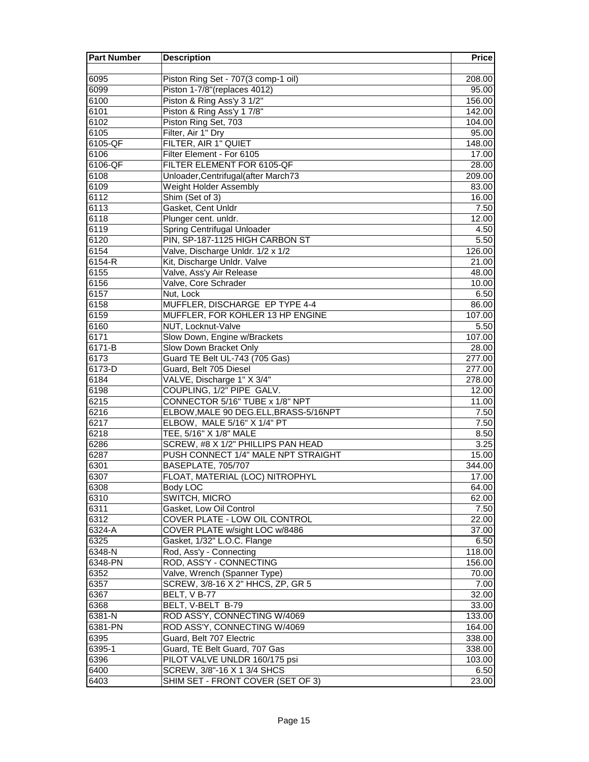| Piston Ring Set - 707(3 comp-1 oil)<br>6095<br>208.00<br>Piston 1-7/8" (replaces 4012)<br>6099<br>95.00<br>6100<br>Piston & Ring Ass'y 3 1/2"<br>156.00<br>6101<br>Piston & Ring Ass'y 1 7/8"<br>142.00<br>6102<br>Piston Ring Set, 703<br>104.00<br>6105<br>Filter, Air 1" Dry<br>95.00<br>6105-QF<br>FILTER, AIR 1" QUIET<br>148.00<br>Filter Element - For 6105<br>6106<br>17.00<br>FILTER ELEMENT FOR 6105-QF<br>6106-QF<br>28.00<br>6108<br>Unloader, Centrifugal (after March73<br>209.00<br>6109<br>Weight Holder Assembly<br>83.00<br>6112<br>Shim (Set of 3)<br>16.00<br>6113<br>Gasket, Cent Unldr<br>7.50<br>6118<br>Plunger cent. unldr.<br>12.00<br>6119<br>Spring Centrifugal Unloader<br>4.50<br>6120<br>PIN, SP-187-1125 HIGH CARBON ST<br>5.50<br>6154<br>Valve, Discharge Unldr. 1/2 x 1/2<br>126.00<br>$6154 - R$<br>Kit, Discharge Unldr. Valve<br>21.00<br>6155<br>Valve, Ass'y Air Release<br>48.00<br>6156<br>Valve, Core Schrader<br>10.00<br>6157<br>Nut, Lock<br>6.50<br>6158<br>MUFFLER, DISCHARGE EP TYPE 4-4<br>86.00<br>6159<br>MUFFLER, FOR KOHLER 13 HP ENGINE<br>107.00<br>6160<br>NUT, Locknut-Valve<br>5.50<br>6171<br>Slow Down, Engine w/Brackets<br>107.00<br>6171-B<br>Slow Down Bracket Only<br>28.00<br>6173<br>Guard TE Belt UL-743 (705 Gas)<br>277.00<br>6173-D<br>Guard, Belt 705 Diesel<br>277.00<br>6184<br>VALVE, Discharge 1" X 3/4"<br>278.00<br>COUPLING, 1/2" PIPE GALV.<br>6198<br>12.00<br>CONNECTOR 5/16" TUBE x 1/8" NPT<br>6215<br>11.00<br>6216<br>ELBOW, MALE 90 DEG.ELL, BRASS-5/16NPT<br>7.50<br>ELBOW, MALE 5/16" X 1/4" PT<br>6217<br>7.50<br>TEE, 5/16" X 1/8" MALE<br>6218<br>8.50<br>6286<br>SCREW, #8 X 1/2" PHILLIPS PAN HEAD<br>3.25<br>PUSH CONNECT 1/4" MALE NPT STRAIGHT<br>6287<br>15.00<br>BASEPLATE, 705/707<br>6301<br>344.00<br>6307<br>FLOAT, MATERIAL (LOC) NITROPHYL<br>17.00<br>Body LOC<br>6308<br>64.00<br>SWITCH, MICRO<br>6310<br>62.00<br>6311<br>Gasket, Low Oil Control<br>7.50<br>6312<br>COVER PLATE - LOW OIL CONTROL<br>22.00<br>$6324 - A$<br>COVER PLATE w/sight LOC w/8486<br>37.00<br>Gasket, 1/32" L.O.C. Flange<br>6325<br>6.50<br>Rod, Ass'y - Connecting<br>6348-N<br>118.00<br>6348-PN<br>ROD, ASS'Y - CONNECTING<br>156.00<br>6352<br>Valve, Wrench (Spanner Type)<br>70.00<br>6357<br>SCREW, 3/8-16 X 2" HHCS, ZP, GR 5<br>7.00<br>6367<br>BELT, V B-77<br>32.00<br>BELT, V-BELT B-79<br>6368<br>33.00<br>ROD ASS'Y, CONNECTING W/4069<br>6381-N<br>133.00<br>ROD ASS'Y, CONNECTING W/4069<br>6381-PN<br>164.00<br>Guard, Belt 707 Electric<br>6395<br>338.00<br>6395-1<br>Guard, TE Belt Guard, 707 Gas<br>338.00<br>6396<br>PILOT VALVE UNLDR 160/175 psi<br>103.00<br>6400<br>SCREW, 3/8"-16 X 1 3/4 SHCS<br>6.50<br>6403<br>SHIM SET - FRONT COVER (SET OF 3)<br>23.00 | <b>Part Number</b> | <b>Description</b> | <b>Price</b> |
|-----------------------------------------------------------------------------------------------------------------------------------------------------------------------------------------------------------------------------------------------------------------------------------------------------------------------------------------------------------------------------------------------------------------------------------------------------------------------------------------------------------------------------------------------------------------------------------------------------------------------------------------------------------------------------------------------------------------------------------------------------------------------------------------------------------------------------------------------------------------------------------------------------------------------------------------------------------------------------------------------------------------------------------------------------------------------------------------------------------------------------------------------------------------------------------------------------------------------------------------------------------------------------------------------------------------------------------------------------------------------------------------------------------------------------------------------------------------------------------------------------------------------------------------------------------------------------------------------------------------------------------------------------------------------------------------------------------------------------------------------------------------------------------------------------------------------------------------------------------------------------------------------------------------------------------------------------------------------------------------------------------------------------------------------------------------------------------------------------------------------------------------------------------------------------------------------------------------------------------------------------------------------------------------------------------------------------------------------------------------------------------------------------------------------------------------------------------------------------------------------------------------------------------------------------------------------------------------------------------------------------------------------------------------------------------------------------------------------------------------------------------------------------------|--------------------|--------------------|--------------|
|                                                                                                                                                                                                                                                                                                                                                                                                                                                                                                                                                                                                                                                                                                                                                                                                                                                                                                                                                                                                                                                                                                                                                                                                                                                                                                                                                                                                                                                                                                                                                                                                                                                                                                                                                                                                                                                                                                                                                                                                                                                                                                                                                                                                                                                                                                                                                                                                                                                                                                                                                                                                                                                                                                                                                                                   |                    |                    |              |
|                                                                                                                                                                                                                                                                                                                                                                                                                                                                                                                                                                                                                                                                                                                                                                                                                                                                                                                                                                                                                                                                                                                                                                                                                                                                                                                                                                                                                                                                                                                                                                                                                                                                                                                                                                                                                                                                                                                                                                                                                                                                                                                                                                                                                                                                                                                                                                                                                                                                                                                                                                                                                                                                                                                                                                                   |                    |                    |              |
|                                                                                                                                                                                                                                                                                                                                                                                                                                                                                                                                                                                                                                                                                                                                                                                                                                                                                                                                                                                                                                                                                                                                                                                                                                                                                                                                                                                                                                                                                                                                                                                                                                                                                                                                                                                                                                                                                                                                                                                                                                                                                                                                                                                                                                                                                                                                                                                                                                                                                                                                                                                                                                                                                                                                                                                   |                    |                    |              |
|                                                                                                                                                                                                                                                                                                                                                                                                                                                                                                                                                                                                                                                                                                                                                                                                                                                                                                                                                                                                                                                                                                                                                                                                                                                                                                                                                                                                                                                                                                                                                                                                                                                                                                                                                                                                                                                                                                                                                                                                                                                                                                                                                                                                                                                                                                                                                                                                                                                                                                                                                                                                                                                                                                                                                                                   |                    |                    |              |
|                                                                                                                                                                                                                                                                                                                                                                                                                                                                                                                                                                                                                                                                                                                                                                                                                                                                                                                                                                                                                                                                                                                                                                                                                                                                                                                                                                                                                                                                                                                                                                                                                                                                                                                                                                                                                                                                                                                                                                                                                                                                                                                                                                                                                                                                                                                                                                                                                                                                                                                                                                                                                                                                                                                                                                                   |                    |                    |              |
|                                                                                                                                                                                                                                                                                                                                                                                                                                                                                                                                                                                                                                                                                                                                                                                                                                                                                                                                                                                                                                                                                                                                                                                                                                                                                                                                                                                                                                                                                                                                                                                                                                                                                                                                                                                                                                                                                                                                                                                                                                                                                                                                                                                                                                                                                                                                                                                                                                                                                                                                                                                                                                                                                                                                                                                   |                    |                    |              |
|                                                                                                                                                                                                                                                                                                                                                                                                                                                                                                                                                                                                                                                                                                                                                                                                                                                                                                                                                                                                                                                                                                                                                                                                                                                                                                                                                                                                                                                                                                                                                                                                                                                                                                                                                                                                                                                                                                                                                                                                                                                                                                                                                                                                                                                                                                                                                                                                                                                                                                                                                                                                                                                                                                                                                                                   |                    |                    |              |
|                                                                                                                                                                                                                                                                                                                                                                                                                                                                                                                                                                                                                                                                                                                                                                                                                                                                                                                                                                                                                                                                                                                                                                                                                                                                                                                                                                                                                                                                                                                                                                                                                                                                                                                                                                                                                                                                                                                                                                                                                                                                                                                                                                                                                                                                                                                                                                                                                                                                                                                                                                                                                                                                                                                                                                                   |                    |                    |              |
|                                                                                                                                                                                                                                                                                                                                                                                                                                                                                                                                                                                                                                                                                                                                                                                                                                                                                                                                                                                                                                                                                                                                                                                                                                                                                                                                                                                                                                                                                                                                                                                                                                                                                                                                                                                                                                                                                                                                                                                                                                                                                                                                                                                                                                                                                                                                                                                                                                                                                                                                                                                                                                                                                                                                                                                   |                    |                    |              |
|                                                                                                                                                                                                                                                                                                                                                                                                                                                                                                                                                                                                                                                                                                                                                                                                                                                                                                                                                                                                                                                                                                                                                                                                                                                                                                                                                                                                                                                                                                                                                                                                                                                                                                                                                                                                                                                                                                                                                                                                                                                                                                                                                                                                                                                                                                                                                                                                                                                                                                                                                                                                                                                                                                                                                                                   |                    |                    |              |
|                                                                                                                                                                                                                                                                                                                                                                                                                                                                                                                                                                                                                                                                                                                                                                                                                                                                                                                                                                                                                                                                                                                                                                                                                                                                                                                                                                                                                                                                                                                                                                                                                                                                                                                                                                                                                                                                                                                                                                                                                                                                                                                                                                                                                                                                                                                                                                                                                                                                                                                                                                                                                                                                                                                                                                                   |                    |                    |              |
|                                                                                                                                                                                                                                                                                                                                                                                                                                                                                                                                                                                                                                                                                                                                                                                                                                                                                                                                                                                                                                                                                                                                                                                                                                                                                                                                                                                                                                                                                                                                                                                                                                                                                                                                                                                                                                                                                                                                                                                                                                                                                                                                                                                                                                                                                                                                                                                                                                                                                                                                                                                                                                                                                                                                                                                   |                    |                    |              |
|                                                                                                                                                                                                                                                                                                                                                                                                                                                                                                                                                                                                                                                                                                                                                                                                                                                                                                                                                                                                                                                                                                                                                                                                                                                                                                                                                                                                                                                                                                                                                                                                                                                                                                                                                                                                                                                                                                                                                                                                                                                                                                                                                                                                                                                                                                                                                                                                                                                                                                                                                                                                                                                                                                                                                                                   |                    |                    |              |
|                                                                                                                                                                                                                                                                                                                                                                                                                                                                                                                                                                                                                                                                                                                                                                                                                                                                                                                                                                                                                                                                                                                                                                                                                                                                                                                                                                                                                                                                                                                                                                                                                                                                                                                                                                                                                                                                                                                                                                                                                                                                                                                                                                                                                                                                                                                                                                                                                                                                                                                                                                                                                                                                                                                                                                                   |                    |                    |              |
|                                                                                                                                                                                                                                                                                                                                                                                                                                                                                                                                                                                                                                                                                                                                                                                                                                                                                                                                                                                                                                                                                                                                                                                                                                                                                                                                                                                                                                                                                                                                                                                                                                                                                                                                                                                                                                                                                                                                                                                                                                                                                                                                                                                                                                                                                                                                                                                                                                                                                                                                                                                                                                                                                                                                                                                   |                    |                    |              |
|                                                                                                                                                                                                                                                                                                                                                                                                                                                                                                                                                                                                                                                                                                                                                                                                                                                                                                                                                                                                                                                                                                                                                                                                                                                                                                                                                                                                                                                                                                                                                                                                                                                                                                                                                                                                                                                                                                                                                                                                                                                                                                                                                                                                                                                                                                                                                                                                                                                                                                                                                                                                                                                                                                                                                                                   |                    |                    |              |
|                                                                                                                                                                                                                                                                                                                                                                                                                                                                                                                                                                                                                                                                                                                                                                                                                                                                                                                                                                                                                                                                                                                                                                                                                                                                                                                                                                                                                                                                                                                                                                                                                                                                                                                                                                                                                                                                                                                                                                                                                                                                                                                                                                                                                                                                                                                                                                                                                                                                                                                                                                                                                                                                                                                                                                                   |                    |                    |              |
|                                                                                                                                                                                                                                                                                                                                                                                                                                                                                                                                                                                                                                                                                                                                                                                                                                                                                                                                                                                                                                                                                                                                                                                                                                                                                                                                                                                                                                                                                                                                                                                                                                                                                                                                                                                                                                                                                                                                                                                                                                                                                                                                                                                                                                                                                                                                                                                                                                                                                                                                                                                                                                                                                                                                                                                   |                    |                    |              |
|                                                                                                                                                                                                                                                                                                                                                                                                                                                                                                                                                                                                                                                                                                                                                                                                                                                                                                                                                                                                                                                                                                                                                                                                                                                                                                                                                                                                                                                                                                                                                                                                                                                                                                                                                                                                                                                                                                                                                                                                                                                                                                                                                                                                                                                                                                                                                                                                                                                                                                                                                                                                                                                                                                                                                                                   |                    |                    |              |
|                                                                                                                                                                                                                                                                                                                                                                                                                                                                                                                                                                                                                                                                                                                                                                                                                                                                                                                                                                                                                                                                                                                                                                                                                                                                                                                                                                                                                                                                                                                                                                                                                                                                                                                                                                                                                                                                                                                                                                                                                                                                                                                                                                                                                                                                                                                                                                                                                                                                                                                                                                                                                                                                                                                                                                                   |                    |                    |              |
|                                                                                                                                                                                                                                                                                                                                                                                                                                                                                                                                                                                                                                                                                                                                                                                                                                                                                                                                                                                                                                                                                                                                                                                                                                                                                                                                                                                                                                                                                                                                                                                                                                                                                                                                                                                                                                                                                                                                                                                                                                                                                                                                                                                                                                                                                                                                                                                                                                                                                                                                                                                                                                                                                                                                                                                   |                    |                    |              |
|                                                                                                                                                                                                                                                                                                                                                                                                                                                                                                                                                                                                                                                                                                                                                                                                                                                                                                                                                                                                                                                                                                                                                                                                                                                                                                                                                                                                                                                                                                                                                                                                                                                                                                                                                                                                                                                                                                                                                                                                                                                                                                                                                                                                                                                                                                                                                                                                                                                                                                                                                                                                                                                                                                                                                                                   |                    |                    |              |
|                                                                                                                                                                                                                                                                                                                                                                                                                                                                                                                                                                                                                                                                                                                                                                                                                                                                                                                                                                                                                                                                                                                                                                                                                                                                                                                                                                                                                                                                                                                                                                                                                                                                                                                                                                                                                                                                                                                                                                                                                                                                                                                                                                                                                                                                                                                                                                                                                                                                                                                                                                                                                                                                                                                                                                                   |                    |                    |              |
|                                                                                                                                                                                                                                                                                                                                                                                                                                                                                                                                                                                                                                                                                                                                                                                                                                                                                                                                                                                                                                                                                                                                                                                                                                                                                                                                                                                                                                                                                                                                                                                                                                                                                                                                                                                                                                                                                                                                                                                                                                                                                                                                                                                                                                                                                                                                                                                                                                                                                                                                                                                                                                                                                                                                                                                   |                    |                    |              |
|                                                                                                                                                                                                                                                                                                                                                                                                                                                                                                                                                                                                                                                                                                                                                                                                                                                                                                                                                                                                                                                                                                                                                                                                                                                                                                                                                                                                                                                                                                                                                                                                                                                                                                                                                                                                                                                                                                                                                                                                                                                                                                                                                                                                                                                                                                                                                                                                                                                                                                                                                                                                                                                                                                                                                                                   |                    |                    |              |
|                                                                                                                                                                                                                                                                                                                                                                                                                                                                                                                                                                                                                                                                                                                                                                                                                                                                                                                                                                                                                                                                                                                                                                                                                                                                                                                                                                                                                                                                                                                                                                                                                                                                                                                                                                                                                                                                                                                                                                                                                                                                                                                                                                                                                                                                                                                                                                                                                                                                                                                                                                                                                                                                                                                                                                                   |                    |                    |              |
|                                                                                                                                                                                                                                                                                                                                                                                                                                                                                                                                                                                                                                                                                                                                                                                                                                                                                                                                                                                                                                                                                                                                                                                                                                                                                                                                                                                                                                                                                                                                                                                                                                                                                                                                                                                                                                                                                                                                                                                                                                                                                                                                                                                                                                                                                                                                                                                                                                                                                                                                                                                                                                                                                                                                                                                   |                    |                    |              |
|                                                                                                                                                                                                                                                                                                                                                                                                                                                                                                                                                                                                                                                                                                                                                                                                                                                                                                                                                                                                                                                                                                                                                                                                                                                                                                                                                                                                                                                                                                                                                                                                                                                                                                                                                                                                                                                                                                                                                                                                                                                                                                                                                                                                                                                                                                                                                                                                                                                                                                                                                                                                                                                                                                                                                                                   |                    |                    |              |
|                                                                                                                                                                                                                                                                                                                                                                                                                                                                                                                                                                                                                                                                                                                                                                                                                                                                                                                                                                                                                                                                                                                                                                                                                                                                                                                                                                                                                                                                                                                                                                                                                                                                                                                                                                                                                                                                                                                                                                                                                                                                                                                                                                                                                                                                                                                                                                                                                                                                                                                                                                                                                                                                                                                                                                                   |                    |                    |              |
|                                                                                                                                                                                                                                                                                                                                                                                                                                                                                                                                                                                                                                                                                                                                                                                                                                                                                                                                                                                                                                                                                                                                                                                                                                                                                                                                                                                                                                                                                                                                                                                                                                                                                                                                                                                                                                                                                                                                                                                                                                                                                                                                                                                                                                                                                                                                                                                                                                                                                                                                                                                                                                                                                                                                                                                   |                    |                    |              |
|                                                                                                                                                                                                                                                                                                                                                                                                                                                                                                                                                                                                                                                                                                                                                                                                                                                                                                                                                                                                                                                                                                                                                                                                                                                                                                                                                                                                                                                                                                                                                                                                                                                                                                                                                                                                                                                                                                                                                                                                                                                                                                                                                                                                                                                                                                                                                                                                                                                                                                                                                                                                                                                                                                                                                                                   |                    |                    |              |
|                                                                                                                                                                                                                                                                                                                                                                                                                                                                                                                                                                                                                                                                                                                                                                                                                                                                                                                                                                                                                                                                                                                                                                                                                                                                                                                                                                                                                                                                                                                                                                                                                                                                                                                                                                                                                                                                                                                                                                                                                                                                                                                                                                                                                                                                                                                                                                                                                                                                                                                                                                                                                                                                                                                                                                                   |                    |                    |              |
|                                                                                                                                                                                                                                                                                                                                                                                                                                                                                                                                                                                                                                                                                                                                                                                                                                                                                                                                                                                                                                                                                                                                                                                                                                                                                                                                                                                                                                                                                                                                                                                                                                                                                                                                                                                                                                                                                                                                                                                                                                                                                                                                                                                                                                                                                                                                                                                                                                                                                                                                                                                                                                                                                                                                                                                   |                    |                    |              |
|                                                                                                                                                                                                                                                                                                                                                                                                                                                                                                                                                                                                                                                                                                                                                                                                                                                                                                                                                                                                                                                                                                                                                                                                                                                                                                                                                                                                                                                                                                                                                                                                                                                                                                                                                                                                                                                                                                                                                                                                                                                                                                                                                                                                                                                                                                                                                                                                                                                                                                                                                                                                                                                                                                                                                                                   |                    |                    |              |
|                                                                                                                                                                                                                                                                                                                                                                                                                                                                                                                                                                                                                                                                                                                                                                                                                                                                                                                                                                                                                                                                                                                                                                                                                                                                                                                                                                                                                                                                                                                                                                                                                                                                                                                                                                                                                                                                                                                                                                                                                                                                                                                                                                                                                                                                                                                                                                                                                                                                                                                                                                                                                                                                                                                                                                                   |                    |                    |              |
|                                                                                                                                                                                                                                                                                                                                                                                                                                                                                                                                                                                                                                                                                                                                                                                                                                                                                                                                                                                                                                                                                                                                                                                                                                                                                                                                                                                                                                                                                                                                                                                                                                                                                                                                                                                                                                                                                                                                                                                                                                                                                                                                                                                                                                                                                                                                                                                                                                                                                                                                                                                                                                                                                                                                                                                   |                    |                    |              |
|                                                                                                                                                                                                                                                                                                                                                                                                                                                                                                                                                                                                                                                                                                                                                                                                                                                                                                                                                                                                                                                                                                                                                                                                                                                                                                                                                                                                                                                                                                                                                                                                                                                                                                                                                                                                                                                                                                                                                                                                                                                                                                                                                                                                                                                                                                                                                                                                                                                                                                                                                                                                                                                                                                                                                                                   |                    |                    |              |
|                                                                                                                                                                                                                                                                                                                                                                                                                                                                                                                                                                                                                                                                                                                                                                                                                                                                                                                                                                                                                                                                                                                                                                                                                                                                                                                                                                                                                                                                                                                                                                                                                                                                                                                                                                                                                                                                                                                                                                                                                                                                                                                                                                                                                                                                                                                                                                                                                                                                                                                                                                                                                                                                                                                                                                                   |                    |                    |              |
|                                                                                                                                                                                                                                                                                                                                                                                                                                                                                                                                                                                                                                                                                                                                                                                                                                                                                                                                                                                                                                                                                                                                                                                                                                                                                                                                                                                                                                                                                                                                                                                                                                                                                                                                                                                                                                                                                                                                                                                                                                                                                                                                                                                                                                                                                                                                                                                                                                                                                                                                                                                                                                                                                                                                                                                   |                    |                    |              |
|                                                                                                                                                                                                                                                                                                                                                                                                                                                                                                                                                                                                                                                                                                                                                                                                                                                                                                                                                                                                                                                                                                                                                                                                                                                                                                                                                                                                                                                                                                                                                                                                                                                                                                                                                                                                                                                                                                                                                                                                                                                                                                                                                                                                                                                                                                                                                                                                                                                                                                                                                                                                                                                                                                                                                                                   |                    |                    |              |
|                                                                                                                                                                                                                                                                                                                                                                                                                                                                                                                                                                                                                                                                                                                                                                                                                                                                                                                                                                                                                                                                                                                                                                                                                                                                                                                                                                                                                                                                                                                                                                                                                                                                                                                                                                                                                                                                                                                                                                                                                                                                                                                                                                                                                                                                                                                                                                                                                                                                                                                                                                                                                                                                                                                                                                                   |                    |                    |              |
|                                                                                                                                                                                                                                                                                                                                                                                                                                                                                                                                                                                                                                                                                                                                                                                                                                                                                                                                                                                                                                                                                                                                                                                                                                                                                                                                                                                                                                                                                                                                                                                                                                                                                                                                                                                                                                                                                                                                                                                                                                                                                                                                                                                                                                                                                                                                                                                                                                                                                                                                                                                                                                                                                                                                                                                   |                    |                    |              |
|                                                                                                                                                                                                                                                                                                                                                                                                                                                                                                                                                                                                                                                                                                                                                                                                                                                                                                                                                                                                                                                                                                                                                                                                                                                                                                                                                                                                                                                                                                                                                                                                                                                                                                                                                                                                                                                                                                                                                                                                                                                                                                                                                                                                                                                                                                                                                                                                                                                                                                                                                                                                                                                                                                                                                                                   |                    |                    |              |
|                                                                                                                                                                                                                                                                                                                                                                                                                                                                                                                                                                                                                                                                                                                                                                                                                                                                                                                                                                                                                                                                                                                                                                                                                                                                                                                                                                                                                                                                                                                                                                                                                                                                                                                                                                                                                                                                                                                                                                                                                                                                                                                                                                                                                                                                                                                                                                                                                                                                                                                                                                                                                                                                                                                                                                                   |                    |                    |              |
|                                                                                                                                                                                                                                                                                                                                                                                                                                                                                                                                                                                                                                                                                                                                                                                                                                                                                                                                                                                                                                                                                                                                                                                                                                                                                                                                                                                                                                                                                                                                                                                                                                                                                                                                                                                                                                                                                                                                                                                                                                                                                                                                                                                                                                                                                                                                                                                                                                                                                                                                                                                                                                                                                                                                                                                   |                    |                    |              |
|                                                                                                                                                                                                                                                                                                                                                                                                                                                                                                                                                                                                                                                                                                                                                                                                                                                                                                                                                                                                                                                                                                                                                                                                                                                                                                                                                                                                                                                                                                                                                                                                                                                                                                                                                                                                                                                                                                                                                                                                                                                                                                                                                                                                                                                                                                                                                                                                                                                                                                                                                                                                                                                                                                                                                                                   |                    |                    |              |
|                                                                                                                                                                                                                                                                                                                                                                                                                                                                                                                                                                                                                                                                                                                                                                                                                                                                                                                                                                                                                                                                                                                                                                                                                                                                                                                                                                                                                                                                                                                                                                                                                                                                                                                                                                                                                                                                                                                                                                                                                                                                                                                                                                                                                                                                                                                                                                                                                                                                                                                                                                                                                                                                                                                                                                                   |                    |                    |              |
|                                                                                                                                                                                                                                                                                                                                                                                                                                                                                                                                                                                                                                                                                                                                                                                                                                                                                                                                                                                                                                                                                                                                                                                                                                                                                                                                                                                                                                                                                                                                                                                                                                                                                                                                                                                                                                                                                                                                                                                                                                                                                                                                                                                                                                                                                                                                                                                                                                                                                                                                                                                                                                                                                                                                                                                   |                    |                    |              |
|                                                                                                                                                                                                                                                                                                                                                                                                                                                                                                                                                                                                                                                                                                                                                                                                                                                                                                                                                                                                                                                                                                                                                                                                                                                                                                                                                                                                                                                                                                                                                                                                                                                                                                                                                                                                                                                                                                                                                                                                                                                                                                                                                                                                                                                                                                                                                                                                                                                                                                                                                                                                                                                                                                                                                                                   |                    |                    |              |
|                                                                                                                                                                                                                                                                                                                                                                                                                                                                                                                                                                                                                                                                                                                                                                                                                                                                                                                                                                                                                                                                                                                                                                                                                                                                                                                                                                                                                                                                                                                                                                                                                                                                                                                                                                                                                                                                                                                                                                                                                                                                                                                                                                                                                                                                                                                                                                                                                                                                                                                                                                                                                                                                                                                                                                                   |                    |                    |              |
|                                                                                                                                                                                                                                                                                                                                                                                                                                                                                                                                                                                                                                                                                                                                                                                                                                                                                                                                                                                                                                                                                                                                                                                                                                                                                                                                                                                                                                                                                                                                                                                                                                                                                                                                                                                                                                                                                                                                                                                                                                                                                                                                                                                                                                                                                                                                                                                                                                                                                                                                                                                                                                                                                                                                                                                   |                    |                    |              |
|                                                                                                                                                                                                                                                                                                                                                                                                                                                                                                                                                                                                                                                                                                                                                                                                                                                                                                                                                                                                                                                                                                                                                                                                                                                                                                                                                                                                                                                                                                                                                                                                                                                                                                                                                                                                                                                                                                                                                                                                                                                                                                                                                                                                                                                                                                                                                                                                                                                                                                                                                                                                                                                                                                                                                                                   |                    |                    |              |
|                                                                                                                                                                                                                                                                                                                                                                                                                                                                                                                                                                                                                                                                                                                                                                                                                                                                                                                                                                                                                                                                                                                                                                                                                                                                                                                                                                                                                                                                                                                                                                                                                                                                                                                                                                                                                                                                                                                                                                                                                                                                                                                                                                                                                                                                                                                                                                                                                                                                                                                                                                                                                                                                                                                                                                                   |                    |                    |              |
|                                                                                                                                                                                                                                                                                                                                                                                                                                                                                                                                                                                                                                                                                                                                                                                                                                                                                                                                                                                                                                                                                                                                                                                                                                                                                                                                                                                                                                                                                                                                                                                                                                                                                                                                                                                                                                                                                                                                                                                                                                                                                                                                                                                                                                                                                                                                                                                                                                                                                                                                                                                                                                                                                                                                                                                   |                    |                    |              |
|                                                                                                                                                                                                                                                                                                                                                                                                                                                                                                                                                                                                                                                                                                                                                                                                                                                                                                                                                                                                                                                                                                                                                                                                                                                                                                                                                                                                                                                                                                                                                                                                                                                                                                                                                                                                                                                                                                                                                                                                                                                                                                                                                                                                                                                                                                                                                                                                                                                                                                                                                                                                                                                                                                                                                                                   |                    |                    |              |
|                                                                                                                                                                                                                                                                                                                                                                                                                                                                                                                                                                                                                                                                                                                                                                                                                                                                                                                                                                                                                                                                                                                                                                                                                                                                                                                                                                                                                                                                                                                                                                                                                                                                                                                                                                                                                                                                                                                                                                                                                                                                                                                                                                                                                                                                                                                                                                                                                                                                                                                                                                                                                                                                                                                                                                                   |                    |                    |              |
|                                                                                                                                                                                                                                                                                                                                                                                                                                                                                                                                                                                                                                                                                                                                                                                                                                                                                                                                                                                                                                                                                                                                                                                                                                                                                                                                                                                                                                                                                                                                                                                                                                                                                                                                                                                                                                                                                                                                                                                                                                                                                                                                                                                                                                                                                                                                                                                                                                                                                                                                                                                                                                                                                                                                                                                   |                    |                    |              |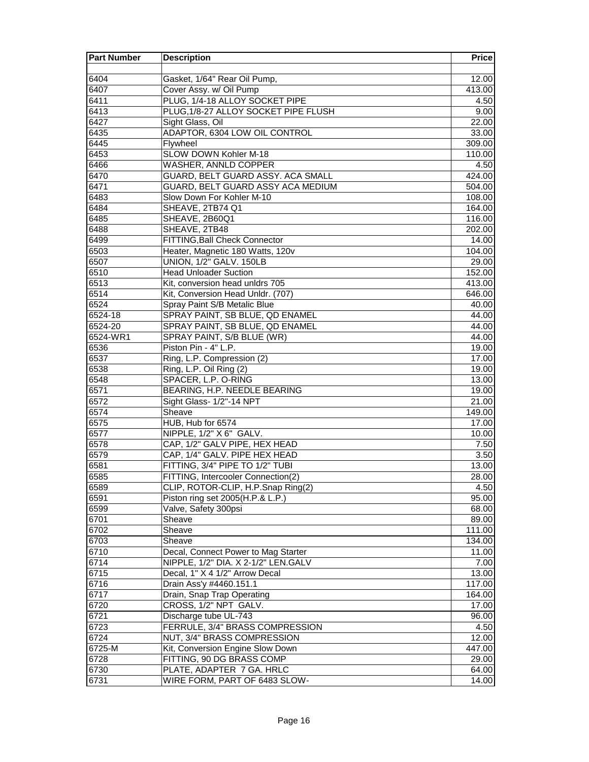| <b>Part Number</b> | <b>Description</b>                   | <b>Price</b> |
|--------------------|--------------------------------------|--------------|
|                    |                                      |              |
| 6404               | Gasket, 1/64" Rear Oil Pump,         | 12.00        |
| 6407               | Cover Assy. w/ Oil Pump              | 413.00       |
| 6411               | PLUG, 1/4-18 ALLOY SOCKET PIPE       | 4.50         |
| 6413               | PLUG, 1/8-27 ALLOY SOCKET PIPE FLUSH | 9.00         |
| 6427               | Sight Glass, Oil                     | 22.00        |
| 6435               | ADAPTOR, 6304 LOW OIL CONTROL        | 33.00        |
| 6445               | Flywheel                             | 309.00       |
| 6453               | SLOW DOWN Kohler M-18                | 110.00       |
| 6466               | WASHER, ANNLD COPPER                 | 4.50         |
| 6470               | GUARD, BELT GUARD ASSY. ACA SMALL    | 424.00       |
| 6471               | GUARD, BELT GUARD ASSY ACA MEDIUM    | 504.00       |
| 6483               | Slow Down For Kohler M-10            | 108.00       |
| 6484               | SHEAVE, 2TB74 Q1                     | 164.00       |
| 6485               | SHEAVE, 2B60Q1                       | 116.00       |
| 6488               | SHEAVE, 2TB48                        | 202.00       |
| 6499               | FITTING, Ball Check Connector        | 14.00        |
| 6503               | Heater, Magnetic 180 Watts, 120v     | 104.00       |
| 6507               | UNION, 1/2" GALV. 150LB              | 29.00        |
| 6510               | <b>Head Unloader Suction</b>         | 152.00       |
| 6513               | Kit, conversion head unldrs 705      | 413.00       |
| 6514               | Kit, Conversion Head Unldr. (707)    | 646.00       |
| 6524               | Spray Paint S/B Metalic Blue         | 40.00        |
| 6524-18            | SPRAY PAINT, SB BLUE, QD ENAMEL      | 44.00        |
| 6524-20            | SPRAY PAINT, SB BLUE, QD ENAMEL      | 44.00        |
| 6524-WR1           | SPRAY PAINT, S/B BLUE (WR)           | 44.00        |
| 6536               | Piston Pin - 4" L.P.                 | 19.00        |
| 6537               | Ring, L.P. Compression (2)           | 17.00        |
| 6538               | Ring, L.P. Oil Ring (2)              | 19.00        |
| 6548               | SPACER, L.P. O-RING                  | 13.00        |
| 6571               | BEARING, H.P. NEEDLE BEARING         | 19.00        |
| 6572               | Sight Glass- 1/2"-14 NPT             | 21.00        |
| 6574               | Sheave                               | 149.00       |
| 6575               | HUB, Hub for 6574                    | 17.00        |
| 6577               | NIPPLE, 1/2" X 6" GALV.              | 10.00        |
| 6578               | CAP, 1/2" GALV PIPE, HEX HEAD        | 7.50         |
| 6579               | CAP, 1/4" GALV. PIPE HEX HEAD        | 3.50         |
| 6581               | FITTING, 3/4" PIPE TO 1/2" TUBI      | 13.00        |
| 6585               | FITTING, Intercooler Connection(2)   | 28.00        |
| 6589               | CLIP, ROTOR-CLIP, H.P.Snap Ring(2)   | 4.50         |
| 6591               | Piston ring set 2005(H.P.& L.P.)     | 95.00        |
| 6599               | Valve, Safety 300psi                 | 68.00        |
| 6701               | Sheave                               | 89.00        |
| 6702               | Sheave                               | 111.00       |
| 6703               | Sheave                               | 134.00       |
| 6710               | Decal, Connect Power to Mag Starter  | 11.00        |
| 6714               | NIPPLE, 1/2" DIA. X 2-1/2" LEN.GALV  | 7.00         |
| 6715               | Decal, 1" X 4 1/2" Arrow Decal       | 13.00        |
| 6716               | Drain Ass'y #4460.151.1              | 117.00       |
| 6717               | Drain, Snap Trap Operating           | 164.00       |
| 6720               | CROSS, 1/2" NPT GALV.                | 17.00        |
| 6721               | Discharge tube UL-743                | 96.00        |
| 6723               | FERRULE, 3/4" BRASS COMPRESSION      |              |
| 6724               | NUT, 3/4" BRASS COMPRESSION          | 4.50         |
|                    |                                      | 12.00        |
| 6725-M             | Kit, Conversion Engine Slow Down     | 447.00       |
| 6728               | FITTING, 90 DG BRASS COMP            | 29.00        |
| 6730               | PLATE, ADAPTER 7 GA. HRLC            | 64.00        |
| 6731               | WIRE FORM, PART OF 6483 SLOW-        | 14.00        |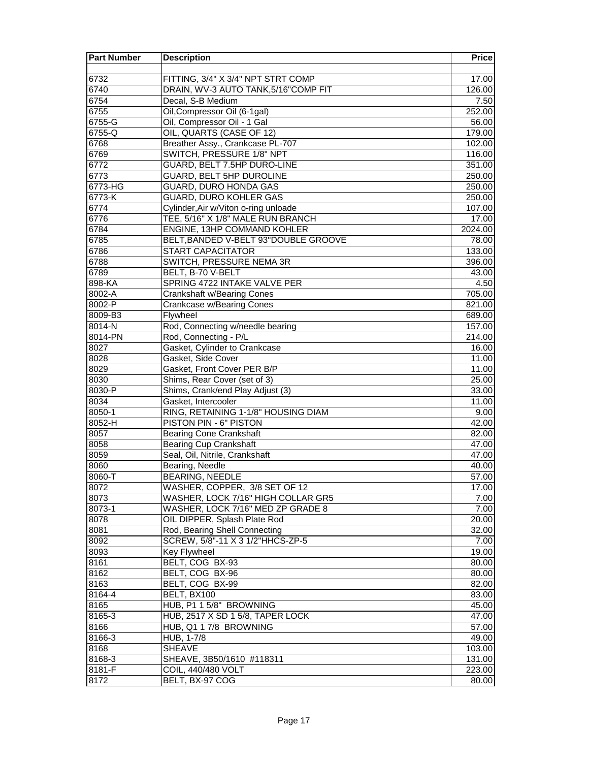| <b>Part Number</b> | <b>Description</b>                    | <b>Price</b> |
|--------------------|---------------------------------------|--------------|
|                    |                                       |              |
| 6732               | FITTING, 3/4" X 3/4" NPT STRT COMP    | 17.00        |
| 6740               | DRAIN, WV-3 AUTO TANK, 5/16"COMP FIT  | 126.00       |
| 6754               | Decal, S-B Medium                     | 7.50         |
| 6755               | Oil, Compressor Oil (6-1gal)          | 252.00       |
| 6755-G             | Oil, Compressor Oil - 1 Gal           | 56.00        |
| 6755-Q             | OIL, QUARTS (CASE OF 12)              | 179.00       |
| 6768               | Breather Assy., Crankcase PL-707      | 102.00       |
| 6769               | SWITCH, PRESSURE 1/8" NPT             | 116.00       |
| 6772               | GUARD, BELT 7.5HP DURO-LINE           | 351.00       |
| 6773               | <b>GUARD, BELT 5HP DUROLINE</b>       | 250.00       |
| 6773-HG            | <b>GUARD, DURO HONDA GAS</b>          | 250.00       |
| 6773-K             | <b>GUARD, DURO KOHLER GAS</b>         | 250.00       |
| 6774               | Cylinder, Air w/Viton o-ring unloade  | 107.00       |
| 6776               | TEE, 5/16" X 1/8" MALE RUN BRANCH     | 17.00        |
| 6784               | ENGINE, 13HP COMMAND KOHLER           | 2024.00      |
| 6785               | BELT, BANDED V-BELT 93" DOUBLE GROOVE | 78.00        |
| 6786               | <b>START CAPACITATOR</b>              | 133.00       |
| 6788               | SWITCH, PRESSURE NEMA 3R              | 396.00       |
| 6789               | BELT, B-70 V-BELT                     | 43.00        |
| 898-KA             | SPRING 4722 INTAKE VALVE PER          | 4.50         |
| 8002-A             | <b>Crankshaft w/Bearing Cones</b>     | 705.00       |
| 8002-P             | <b>Crankcase w/Bearing Cones</b>      | 821.00       |
| 8009-B3            | Flywheel                              | 689.00       |
| 8014-N             | Rod, Connecting w/needle bearing      | 157.00       |
| 8014-PN            | Rod, Connecting - P/L                 | 214.00       |
| 8027               | Gasket, Cylinder to Crankcase         | 16.00        |
| 8028               | Gasket, Side Cover                    | 11.00        |
| 8029               | Gasket, Front Cover PER B/P           | 11.00        |
| 8030               | Shims, Rear Cover (set of 3)          | 25.00        |
| 8030-P             | Shims, Crank/end Play Adjust (3)      | 33.00        |
| 8034               | Gasket, Intercooler                   | 11.00        |
| 8050-1             | RING, RETAINING 1-1/8" HOUSING DIAM   | 9.00         |
| 8052-H             | PISTON PIN - 6" PISTON                | 42.00        |
| 8057               | <b>Bearing Cone Crankshaft</b>        | 82.00        |
| 8058               | <b>Bearing Cup Crankshaft</b>         | 47.00        |
| 8059               | Seal, Oil, Nitrile, Crankshaft        | 47.00        |
| 8060               | Bearing, Needle                       | 40.00        |
| 8060-T             | <b>BEARING, NEEDLE</b>                | 57.00        |
| 8072               | WASHER, COPPER, 3/8 SET OF 12         | 17.00        |
| 8073               | WASHER, LOCK 7/16" HIGH COLLAR GR5    | 7.00         |
| 8073-1             | WASHER, LOCK 7/16" MED ZP GRADE 8     | 7.00         |
| 8078               | OIL DIPPER, Splash Plate Rod          | 20.00        |
| 8081               | Rod, Bearing Shell Connecting         | 32.00        |
| 8092               | SCREW, 5/8"-11 X 3 1/2"HHCS-ZP-5      | 7.00         |
| 8093               | <b>Key Flywheel</b>                   | 19.00        |
| 8161               | BELT, COG BX-93                       | 80.00        |
| 8162               | BELT, COG BX-96                       | 80.00        |
| 8163               | BELT, COG BX-99                       | 82.00        |
| 8164-4             | BELT, BX100                           | 83.00        |
| 8165               | HUB, P1 1 5/8" BROWNING               | 45.00        |
| 8165-3             | HUB, 2517 X SD 1 5/8, TAPER LOCK      | 47.00        |
| 8166               | HUB, Q1 1 7/8 BROWNING                | 57.00        |
| 8166-3             | HUB, 1-7/8                            | 49.00        |
| 8168               | <b>SHEAVE</b>                         | 103.00       |
| 8168-3             | SHEAVE, 3B50/1610 #118311             | 131.00       |
| 8181-F             | COIL, 440/480 VOLT                    | 223.00       |
| 8172               | BELT, BX-97 COG                       | 80.00        |
|                    |                                       |              |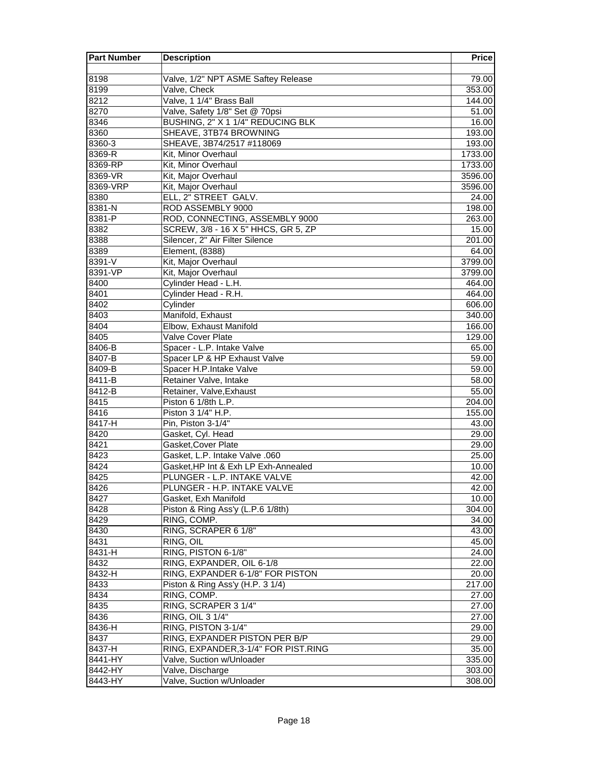| <b>Part Number</b> | <b>Description</b>                   | <b>Price</b> |
|--------------------|--------------------------------------|--------------|
|                    |                                      |              |
| 8198               | Valve, 1/2" NPT ASME Saftey Release  | 79.00        |
| 8199               | Valve, Check                         | 353.00       |
| 8212               | Valve, 1 1/4" Brass Ball             | 144.00       |
| 8270               | Valve, Safety 1/8" Set @ 70psi       | 51.00        |
| 8346               | BUSHING, 2" X 1 1/4" REDUCING BLK    | 16.00        |
| 8360               | SHEAVE, 3TB74 BROWNING               | 193.00       |
| 8360-3             | SHEAVE, 3B74/2517 #118069            | 193.00       |
| 8369-R             | Kit, Minor Overhaul                  | 1733.00      |
| 8369-RP            | Kit, Minor Overhaul                  | 1733.00      |
| 8369-VR            | Kit, Major Overhaul                  | 3596.00      |
| 8369-VRP           | Kit, Major Overhaul                  | 3596.00      |
| 8380               | ELL, 2" STREET GALV.                 | 24.00        |
| 8381-N             | ROD ASSEMBLY 9000                    | 198.00       |
| 8381-P             | ROD, CONNECTING, ASSEMBLY 9000       | 263.00       |
| 8382               | SCREW, 3/8 - 16 X 5" HHCS, GR 5, ZP  | 15.00        |
| 8388               | Silencer, 2" Air Filter Silence      | 201.00       |
| 8389               | Element, (8388)                      | 64.00        |
| 8391-V             | Kit, Major Overhaul                  | 3799.00      |
| 8391-VP            | Kit, Major Overhaul                  | 3799.00      |
| 8400               | Cylinder Head - L.H.                 | 464.00       |
| 8401               | Cylinder Head - R.H.                 | 464.00       |
| 8402               | Cylinder                             | 606.00       |
| 8403               | Manifold, Exhaust                    | 340.00       |
| 8404               | Elbow, Exhaust Manifold              | 166.00       |
| 8405               | Valve Cover Plate                    | 129.00       |
| $8406 - B$         | Spacer - L.P. Intake Valve           | 65.00        |
| 8407-B             | Spacer LP & HP Exhaust Valve         | 59.00        |
| 8409-B             | Spacer H.P.Intake Valve              | 59.00        |
| 8411-B             | Retainer Valve, Intake               | 58.00        |
| 8412-B             | Retainer, Valve, Exhaust             | 55.00        |
| 8415               | Piston 6 1/8th L.P.                  | 204.00       |
| 8416               | Piston 3 1/4" H.P.                   | 155.00       |
| 8417-H             | Pin, Piston 3-1/4"                   | 43.00        |
| 8420               | Gasket, Cyl. Head                    | 29.00        |
| 8421               | Gasket, Cover Plate                  | 29.00        |
| 8423               | Gasket, L.P. Intake Valve .060       | 25.00        |
| 8424               | Gasket, HP Int & Exh LP Exh-Annealed | 10.00        |
| 8425               | PLUNGER - L.P. INTAKE VALVE          | 42.00        |
| 8426               | PLUNGER - H.P. INTAKE VALVE          | 42.00        |
| 8427               | Gasket, Exh Manifold                 | 10.00        |
| 8428               | Piston & Ring Ass'y (L.P.6 1/8th)    | 304.00       |
| 8429               | RING, COMP.                          | 34.00        |
| 8430               | RING, SCRAPER 6 1/8"                 | 43.00        |
| 8431               | RING, OIL                            | 45.00        |
| 8431-H             | RING, PISTON 6-1/8"                  | 24.00        |
| 8432               | RING, EXPANDER, OIL 6-1/8            | 22.00        |
| 8432-H             | RING, EXPANDER 6-1/8" FOR PISTON     | 20.00        |
| 8433               | Piston & Ring Ass'y (H.P. 3 1/4)     | 217.00       |
| 8434               | RING, COMP.                          | 27.00        |
| 8435               | RING, SCRAPER 3 1/4"                 | 27.00        |
| 8436               | RING, OIL 3 1/4"                     | 27.00        |
| 8436-H             | RING, PISTON 3-1/4"                  | 29.00        |
| 8437               | RING, EXPANDER PISTON PER B/P        | 29.00        |
| 8437-H             | RING, EXPANDER, 3-1/4" FOR PIST.RING | 35.00        |
| 8441-HY            | Valve, Suction w/Unloader            | 335.00       |
| 8442-HY            | Valve, Discharge                     | 303.00       |
| 8443-HY            | Valve, Suction w/Unloader            | 308.00       |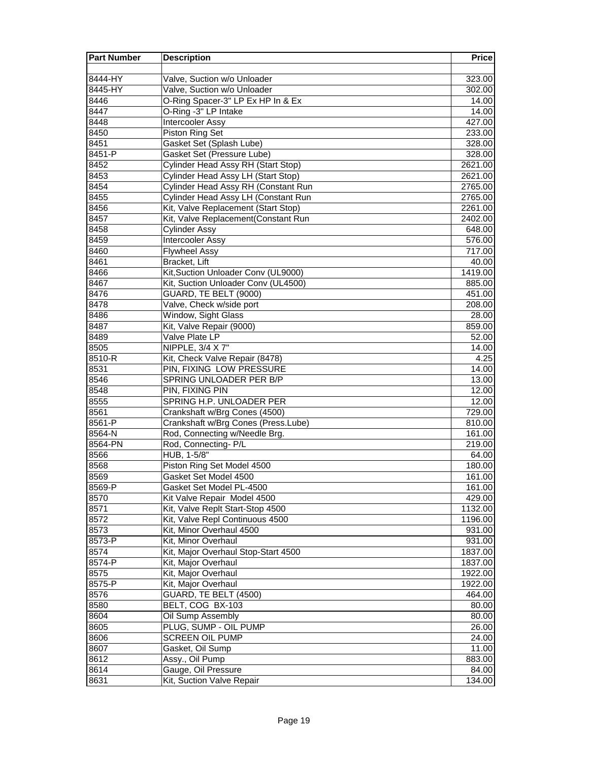| <b>Part Number</b> | <b>Description</b>                                    | <b>Price</b>     |
|--------------------|-------------------------------------------------------|------------------|
|                    |                                                       |                  |
| 8444-HY            | Valve, Suction w/o Unloader                           | 323.00           |
| 8445-HY            | Valve, Suction w/o Unloader                           | 302.00           |
| 8446               | O-Ring Spacer-3" LP Ex HP In & Ex                     | 14.00            |
| 8447               | O-Ring -3" LP Intake                                  | 14.00            |
| 8448               | <b>Intercooler Assy</b>                               | 427.00           |
| 8450               | Piston Ring Set                                       | 233.00           |
| 8451               | Gasket Set (Splash Lube)                              | 328.00           |
| 8451-P             | Gasket Set (Pressure Lube)                            | 328.00           |
| 8452               | Cylinder Head Assy RH (Start Stop)                    | 2621.00          |
| 8453               | Cylinder Head Assy LH (Start Stop)                    | 2621.00          |
| 8454               | Cylinder Head Assy RH (Constant Run                   | 2765.00          |
| 8455               | Cylinder Head Assy LH (Constant Run                   | 2765.00          |
| 8456               | Kit, Valve Replacement (Start Stop)                   | 2261.00          |
| 8457               | Kit, Valve Replacement(Constant Run                   | 2402.00          |
| 8458               | <b>Cylinder Assy</b>                                  | 648.00           |
| 8459               | Intercooler Assy                                      | 576.00           |
| 8460               | <b>Flywheel Assy</b>                                  | 717.00           |
| 8461               | Bracket, Lift                                         | 40.00            |
| 8466               | Kit, Suction Unloader Conv (UL9000)                   | 1419.00          |
| 8467               | Kit, Suction Unloader Conv (UL4500)                   | 885.00           |
| 8476               | GUARD, TE BELT (9000)                                 | 451.00           |
| 8478               | Valve, Check w/side port                              | 208.00           |
| 8486               | Window, Sight Glass                                   | 28.00            |
| 8487               | Kit, Valve Repair (9000)                              | 859.00           |
| 8489               | Valve Plate LP                                        | 52.00            |
| 8505               | NIPPLE, 3/4 X 7"                                      | 14.00            |
| 8510-R             | Kit, Check Valve Repair (8478)                        | 4.25             |
| 8531               | PIN, FIXING LOW PRESSURE                              | 14.00            |
| 8546               | SPRING UNLOADER PER B/P                               | 13.00            |
| 8548               | PIN, FIXING PIN                                       | 12.00            |
| 8555               | SPRING H.P. UNLOADER PER                              | 12.00            |
| 8561               | Crankshaft w/Brg Cones (4500)                         | 729.00           |
| 8561-P<br>8564-N   | Crankshaft w/Brg Cones (Press.Lube)                   | 810.00           |
| 8564-PN            | Rod, Connecting w/Needle Brg.<br>Rod, Connecting- P/L | 161.00<br>219.00 |
| 8566               | HUB, 1-5/8"                                           |                  |
| 8568               | Piston Ring Set Model 4500                            | 64.00<br>180.00  |
| 8569               | Gasket Set Model 4500                                 | 161.00           |
| 8569-P             | Gasket Set Model PL-4500                              | 161.00           |
| 8570               | Kit Valve Repair Model 4500                           | 429.00           |
| 8571               | Kit, Valve Replt Start-Stop 4500                      | 1132.00          |
| 8572               | Kit, Valve Repl Continuous 4500                       | 1196.00          |
| 8573               | Kit, Minor Overhaul 4500                              | 931.00           |
| 8573-P             | Kit, Minor Overhaul                                   | 931.00           |
| 8574               | Kit, Major Overhaul Stop-Start 4500                   | 1837.00          |
| 8574-P             | Kit, Major Overhaul                                   | 1837.00          |
| 8575               | Kit, Major Overhaul                                   | 1922.00          |
| 8575-P             | Kit, Major Overhaul                                   | 1922.00          |
| 8576               | GUARD, TE BELT (4500)                                 | 464.00           |
| 8580               | BELT, COG BX-103                                      | 80.00            |
| 8604               | Oil Sump Assembly                                     | 80.00            |
| 8605               | PLUG, SUMP - OIL PUMP                                 | 26.00            |
| 8606               | <b>SCREEN OIL PUMP</b>                                | 24.00            |
| 8607               | Gasket, Oil Sump                                      | 11.00            |
| 8612               | Assy., Oil Pump                                       | 883.00           |
| 8614               | Gauge, Oil Pressure                                   | 84.00            |
| 8631               | Kit, Suction Valve Repair                             | 134.00           |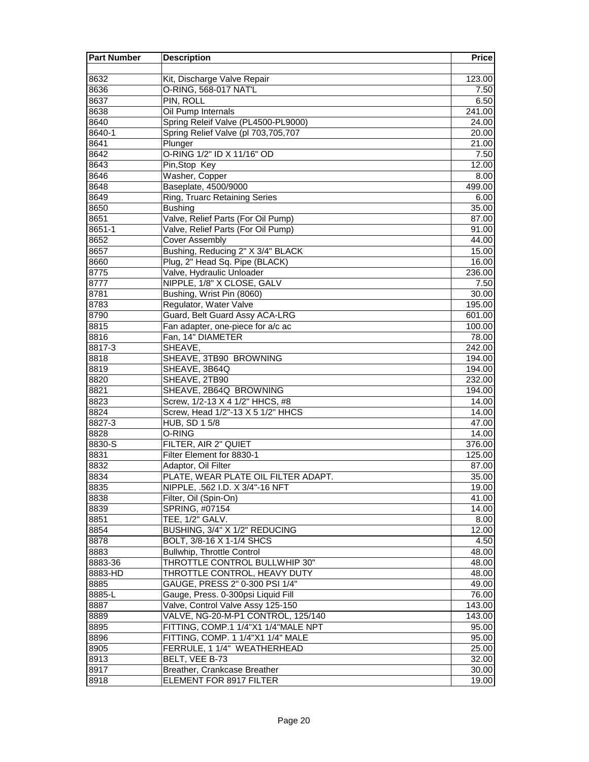| <b>Part Number</b> | <b>Description</b>                  | <b>Price</b> |
|--------------------|-------------------------------------|--------------|
|                    |                                     |              |
| 8632               | Kit, Discharge Valve Repair         | 123.00       |
| 8636               | O-RING, 568-017 NAT'L               | 7.50         |
| 8637               | PIN, ROLL                           | 6.50         |
| 8638               | Oil Pump Internals                  | 241.00       |
| 8640               | Spring Releif Valve (PL4500-PL9000) | 24.00        |
| 8640-1             | Spring Relief Valve (pl 703,705,707 | 20.00        |
| 8641               | Plunger                             | 21.00        |
| 8642               | O-RING 1/2" ID X 11/16" OD          | 7.50         |
| 8643               | Pin, Stop Key                       | 12.00        |
| 8646               | Washer, Copper                      | 8.00         |
| 8648               | Baseplate, 4500/9000                | 499.00       |
| 8649               | Ring, Truarc Retaining Series       | 6.00         |
| 8650               | <b>Bushing</b>                      | 35.00        |
| 8651               | Valve, Relief Parts (For Oil Pump)  | 87.00        |
| 8651-1             | Valve, Relief Parts (For Oil Pump)  | 91.00        |
| 8652               | <b>Cover Assembly</b>               | 44.00        |
| 8657               | Bushing, Reducing 2" X 3/4" BLACK   | 15.00        |
| 8660               | Plug, 2" Head Sq. Pipe (BLACK)      | 16.00        |
| 8775               | Valve, Hydraulic Unloader           | 236.00       |
| 8777               | NIPPLE, 1/8" X CLOSE, GALV          | 7.50         |
| 8781               | Bushing, Wrist Pin (8060)           | 30.00        |
| 8783               | Regulator, Water Valve              | 195.00       |
| 8790               | Guard, Belt Guard Assy ACA-LRG      | 601.00       |
| 8815               | Fan adapter, one-piece for a/c ac   | 100.00       |
| 8816               | Fan, 14" DIAMETER                   | 78.00        |
| $8817 - 3$         | SHEAVE.                             | 242.00       |
| 8818               | SHEAVE, 3TB90 BROWNING              | 194.00       |
| 8819               | SHEAVE, 3B64Q                       | 194.00       |
| 8820               | SHEAVE, 2TB90                       | 232.00       |
| 8821               | SHEAVE, 2B64Q BROWNING              | 194.00       |
| 8823               | Screw, 1/2-13 X 4 1/2" HHCS, #8     | 14.00        |
| 8824               | Screw, Head 1/2"-13 X 5 1/2" HHCS   | 14.00        |
| 8827-3             | HUB, SD 1 5/8                       | 47.00        |
| 8828               | O-RING                              | 14.00        |
| 8830-S             | FILTER, AIR 2" QUIET                | 376.00       |
| 8831               | Filter Element for 8830-1           | 125.00       |
| 8832               | Adaptor, Oil Filter                 | 87.00        |
| 8834               | PLATE, WEAR PLATE OIL FILTER ADAPT. | 35.00        |
| 8835               | NIPPLE, .562 I.D. X 3/4"-16 NFT     | 19.00        |
| 8838               | Filter, Oil (Spin-On)               | 41.00        |
| 8839               | SPRING, #07154                      | 14.00        |
| 8851               | TEE, 1/2" GALV.                     | 8.00         |
| 8854               | BUSHING, 3/4" X 1/2" REDUCING       | 12.00        |
| 8878               | BOLT, 3/8-16 X 1-1/4 SHCS           | 4.50         |
| 8883               | <b>Bullwhip, Throttle Control</b>   | 48.00        |
| 8883-36            | THROTTLE CONTROL BULLWHIP 30"       | 48.00        |
| 8883-HD            | THROTTLE CONTROL, HEAVY DUTY        | 48.00        |
| 8885               | GAUGE, PRESS 2" 0-300 PSI 1/4"      | 49.00        |
| 8885-L             | Gauge, Press. 0-300psi Liquid Fill  | 76.00        |
| 8887               | Valve, Control Valve Assy 125-150   | 143.00       |
| 8889               | VALVE, NG-20-M-P1 CONTROL, 125/140  | 143.00       |
| 8895               | FITTING, COMP.1 1/4"X1 1/4"MALE NPT | 95.00        |
| 8896               | FITTING, COMP. 1 1/4"X1 1/4" MALE   | 95.00        |
| 8905               | FERRULE, 1 1/4" WEATHERHEAD         | 25.00        |
| 8913               | BELT, VEE B-73                      | 32.00        |
| 8917               | Breather, Crankcase Breather        | 30.00        |
| 8918               | ELEMENT FOR 8917 FILTER             | 19.00        |
|                    |                                     |              |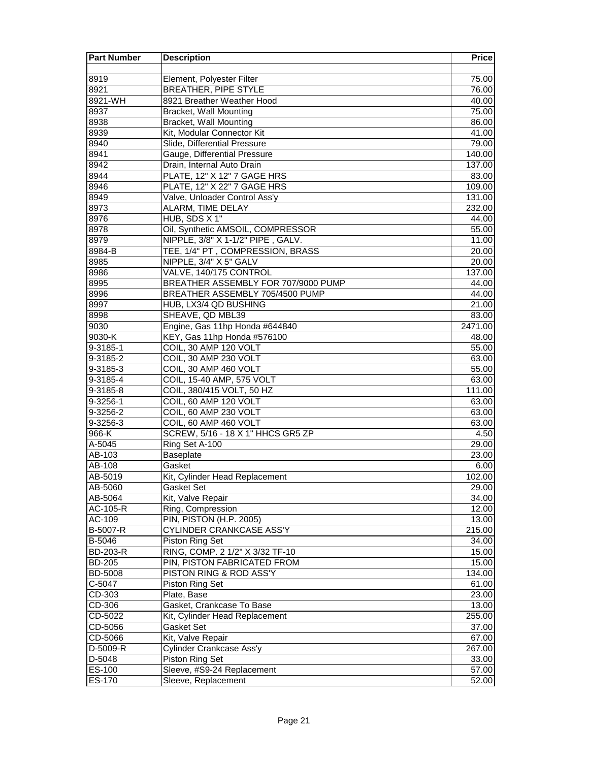| <b>Part Number</b> | <b>Description</b>                  | <b>Price</b> |
|--------------------|-------------------------------------|--------------|
|                    |                                     |              |
| 8919               | Element, Polyester Filter           | 75.00        |
| 8921               | <b>BREATHER, PIPE STYLE</b>         | 76.00        |
| 8921-WH            | 8921 Breather Weather Hood          | 40.00        |
| 8937               | <b>Bracket, Wall Mounting</b>       | 75.00        |
| 8938               | <b>Bracket, Wall Mounting</b>       | 86.00        |
| 8939               | Kit, Modular Connector Kit          | 41.00        |
| 8940               | Slide, Differential Pressure        | 79.00        |
| 8941               | Gauge, Differential Pressure        | 140.00       |
| 8942               | Drain, Internal Auto Drain          | 137.00       |
| 8944               | PLATE, 12" X 12" 7 GAGE HRS         | 83.00        |
| 8946               | PLATE, 12" X 22" 7 GAGE HRS         | 109.00       |
| 8949               | Valve, Unloader Control Ass'y       | 131.00       |
| 8973               | ALARM, TIME DELAY                   | 232.00       |
| 8976               | HUB, SDS X 1"                       | 44.00        |
| 8978               | Oil, Synthetic AMSOIL, COMPRESSOR   | 55.00        |
| 8979               | NIPPLE, 3/8" X 1-1/2" PIPE, GALV.   | 11.00        |
| 8984-B             | TEE, 1/4" PT, COMPRESSION, BRASS    | 20.00        |
| 8985               | NIPPLE, 3/4" X 5" GALV              | 20.00        |
| 8986               | VALVE, 140/175 CONTROL              | 137.00       |
| 8995               | BREATHER ASSEMBLY FOR 707/9000 PUMP | 44.00        |
| 8996               | BREATHER ASSEMBLY 705/4500 PUMP     | 44.00        |
| 8997               | HUB, LX3/4 QD BUSHING               | 21.00        |
| 8998               | SHEAVE, QD MBL39                    | 83.00        |
| 9030               | Engine, Gas 11hp Honda #644840      | 2471.00      |
| 9030-K             | KEY, Gas 11hp Honda #576100         | 48.00        |
| 9-3185-1           | COIL, 30 AMP 120 VOLT               | 55.00        |
| 9-3185-2           | COIL, 30 AMP 230 VOLT               | 63.00        |
| 9-3185-3           | COIL, 30 AMP 460 VOLT               | 55.00        |
| 9-3185-4           | COIL, 15-40 AMP, 575 VOLT           | 63.00        |
| 9-3185-8           | COIL, 380/415 VOLT, 50 HZ           | 111.00       |
| 9-3256-1           | COIL, 60 AMP 120 VOLT               | 63.00        |
| 9-3256-2           | COIL, 60 AMP 230 VOLT               | 63.00        |
| 9-3256-3           | COIL, 60 AMP 460 VOLT               | 63.00        |
| 966-K              | SCREW, 5/16 - 18 X 1" HHCS GR5 ZP   | 4.50         |
| A-5045             | Ring Set A-100                      | 29.00        |
| AB-103             | Baseplate                           | 23.00        |
| AB-108             | Gasket                              | 6.00         |
| AB-5019            | Kit, Cylinder Head Replacement      | 102.00       |
| AB-5060            | Gasket Set                          | 29.00        |
| AB-5064            | Kit, Valve Repair                   | 34.00        |
| AC-105-R           | Ring, Compression                   | 12.00        |
| AC-109             | PIN, PISTON (H.P. 2005)             | 13.00        |
| B-5007-R           | <b>CYLINDER CRANKCASE ASS'Y</b>     | 215.00       |
| B-5046             | Piston Ring Set                     | 34.00        |
| <b>BD-203-R</b>    | RING, COMP. 2 1/2" X 3/32 TF-10     | 15.00        |
| <b>BD-205</b>      | PIN, PISTON FABRICATED FROM         | 15.00        |
| <b>BD-5008</b>     | PISTON RING & ROD ASS'Y             | 134.00       |
| C-5047             | Piston Ring Set                     | 61.00        |
| CD-303             | Plate, Base                         | 23.00        |
| CD-306             | Gasket, Crankcase To Base           | 13.00        |
| CD-5022            | Kit, Cylinder Head Replacement      | 255.00       |
| CD-5056            | Gasket Set                          | 37.00        |
| CD-5066            | Kit, Valve Repair                   | 67.00        |
| D-5009-R           | Cylinder Crankcase Ass'y            | 267.00       |
| D-5048             | Piston Ring Set                     | 33.00        |
| ES-100             | Sleeve, #S9-24 Replacement          | 57.00        |
| ES-170             | Sleeve, Replacement                 |              |
|                    |                                     | 52.00        |